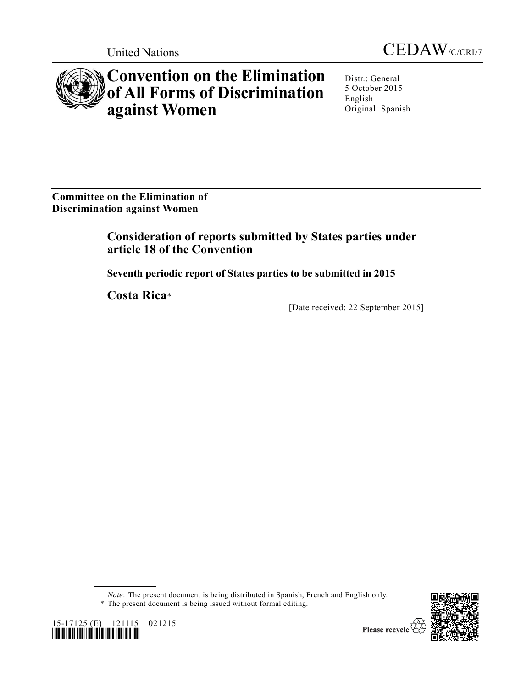



# **Convention on the Elimination of All Forms of Discrimination against Women**

Distr.: General 5 October 2015 English Original: Spanish

**Committee on the Elimination of Discrimination against Women**

# **Consideration of reports submitted by States parties under article 18 of the Convention**

**Seventh periodic report of States parties to be submitted in 2015**

**Costa Rica**\*

[Date received: 22 September 2015]



\* The present document is being issued without formal editing.



15-17125 (E) 121115 021215 *\*1517125\**

Please recycle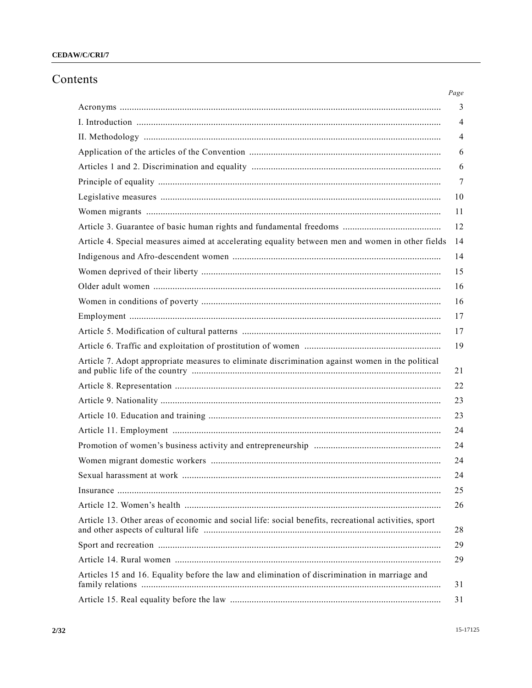#### CEDAW/C/CRI/7

## Contents

|                                                                                                      | $Page$ |
|------------------------------------------------------------------------------------------------------|--------|
|                                                                                                      | 3      |
|                                                                                                      | 4      |
|                                                                                                      | 4      |
|                                                                                                      | 6      |
|                                                                                                      | 6      |
|                                                                                                      | 7      |
|                                                                                                      | 10     |
|                                                                                                      | 11     |
|                                                                                                      | 12     |
| Article 4. Special measures aimed at accelerating equality between men and women in other fields     | 14     |
|                                                                                                      | 14     |
|                                                                                                      | 15     |
|                                                                                                      | 16     |
|                                                                                                      | 16     |
|                                                                                                      | 17     |
|                                                                                                      | 17     |
|                                                                                                      | 19     |
| Article 7. Adopt appropriate measures to eliminate discrimination against women in the political     | 21     |
|                                                                                                      | 22     |
|                                                                                                      | 23     |
|                                                                                                      | 23     |
|                                                                                                      | 24     |
|                                                                                                      | 24     |
|                                                                                                      | 24     |
|                                                                                                      | 24     |
|                                                                                                      | 25     |
|                                                                                                      | 26     |
| Article 13. Other areas of economic and social life: social benefits, recreational activities, sport | 28     |
|                                                                                                      | 29     |
|                                                                                                      | 29     |
| Articles 15 and 16. Equality before the law and elimination of discrimination in marriage and        | 31     |
|                                                                                                      | 31     |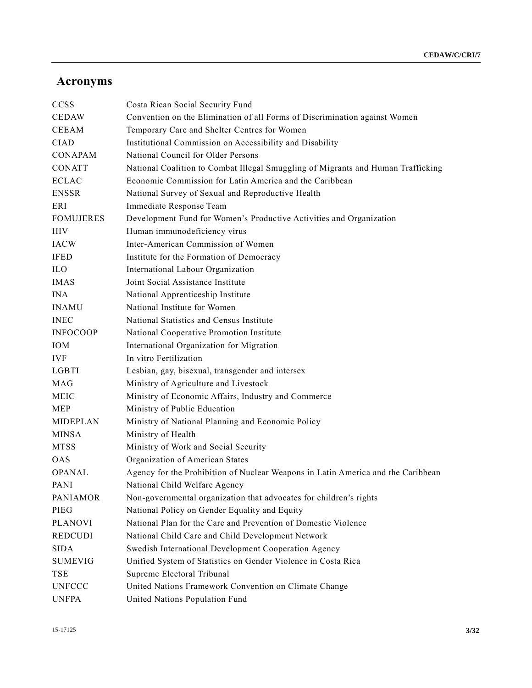# **Acronyms**

| <b>CCSS</b>      | Costa Rican Social Security Fund                                                 |
|------------------|----------------------------------------------------------------------------------|
| <b>CEDAW</b>     | Convention on the Elimination of all Forms of Discrimination against Women       |
| <b>CEEAM</b>     | Temporary Care and Shelter Centres for Women                                     |
| <b>CIAD</b>      | Institutional Commission on Accessibility and Disability                         |
| <b>CONAPAM</b>   | National Council for Older Persons                                               |
| <b>CONATT</b>    | National Coalition to Combat Illegal Smuggling of Migrants and Human Trafficking |
| <b>ECLAC</b>     | Economic Commission for Latin America and the Caribbean                          |
| <b>ENSSR</b>     | National Survey of Sexual and Reproductive Health                                |
| ERI              | Immediate Response Team                                                          |
| <b>FOMUJERES</b> | Development Fund for Women's Productive Activities and Organization              |
| <b>HIV</b>       | Human immunodeficiency virus                                                     |
| <b>IACW</b>      | Inter-American Commission of Women                                               |
| <b>IFED</b>      | Institute for the Formation of Democracy                                         |
| <b>ILO</b>       | International Labour Organization                                                |
| <b>IMAS</b>      | Joint Social Assistance Institute                                                |
| <b>INA</b>       | National Apprenticeship Institute                                                |
| <b>INAMU</b>     | National Institute for Women                                                     |
| <b>INEC</b>      | National Statistics and Census Institute                                         |
| <b>INFOCOOP</b>  | National Cooperative Promotion Institute                                         |
| <b>IOM</b>       | International Organization for Migration                                         |
| <b>IVF</b>       | In vitro Fertilization                                                           |
| LGBTI            | Lesbian, gay, bisexual, transgender and intersex                                 |
| <b>MAG</b>       | Ministry of Agriculture and Livestock                                            |
| <b>MEIC</b>      | Ministry of Economic Affairs, Industry and Commerce                              |
| <b>MEP</b>       | Ministry of Public Education                                                     |
| MIDEPLAN         | Ministry of National Planning and Economic Policy                                |
| <b>MINSA</b>     | Ministry of Health                                                               |
| <b>MTSS</b>      | Ministry of Work and Social Security                                             |
| <b>OAS</b>       | Organization of American States                                                  |
| <b>OPANAL</b>    | Agency for the Prohibition of Nuclear Weapons in Latin America and the Caribbean |
| PANI             | National Child Welfare Agency                                                    |
| <b>PANIAMOR</b>  | Non-governmental organization that advocates for children's rights               |
| PIEG             | National Policy on Gender Equality and Equity                                    |
| <b>PLANOVI</b>   | National Plan for the Care and Prevention of Domestic Violence                   |
| <b>REDCUDI</b>   | National Child Care and Child Development Network                                |
| <b>SIDA</b>      | Swedish International Development Cooperation Agency                             |
| <b>SUMEVIG</b>   | Unified System of Statistics on Gender Violence in Costa Rica                    |
| TSE              | Supreme Electoral Tribunal                                                       |
| <b>UNFCCC</b>    | United Nations Framework Convention on Climate Change                            |
| <b>UNFPA</b>     | United Nations Population Fund                                                   |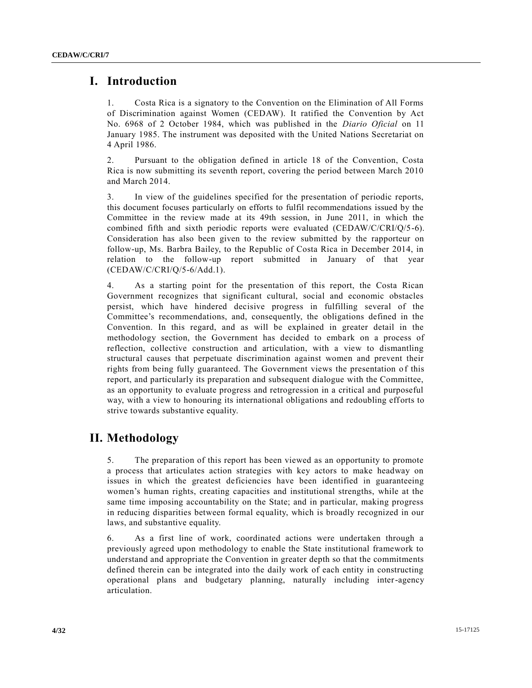#### **I. Introduction**

1. Costa Rica is a signatory to the Convention on the Elimination of All Forms of Discrimination against Women (CEDAW). It ratified the Convention by Act No. 6968 of 2 October 1984, which was published in the *Diario Oficial* on 11 January 1985. The instrument was deposited with the United Nations Secretariat on 4 April 1986.

2. Pursuant to the obligation defined in article 18 of the Convention, Costa Rica is now submitting its seventh report, covering the period between March 2010 and March 2014.

3. In view of the guidelines specified for the presentation of periodic reports, this document focuses particularly on efforts to fulfil recommendations issued by the Committee in the review made at its 49th session, in June 2011, in which the combined fifth and sixth periodic reports were evaluated (CEDAW/C/CRI/Q/5-6). Consideration has also been given to the review submitted by the rapporteur on follow-up, Ms. Barbra Bailey, to the Republic of Costa Rica in December 2014, in relation to the follow-up report submitted in January of that year (CEDAW/C/CRI/Q/5-6/Add.1).

4. As a starting point for the presentation of this report, the Costa Rican Government recognizes that significant cultural, social and economic obstacles persist, which have hindered decisive progress in fulfilling several of the Committee's recommendations, and, consequently, the obligations defined in the Convention. In this regard, and as will be explained in greater detail in the methodology section, the Government has decided to embark on a process of reflection, collective construction and articulation, with a view to dismantling structural causes that perpetuate discrimination against women and prevent their rights from being fully guaranteed. The Government views the presentation of this report, and particularly its preparation and subsequent dialogue with the Committee, as an opportunity to evaluate progress and retrogression in a critical and purposeful way, with a view to honouring its international obligations and redoubling efforts to strive towards substantive equality.

## **II. Methodology**

5. The preparation of this report has been viewed as an opportunity to promote a process that articulates action strategies with key actors to make headway on issues in which the greatest deficiencies have been identified in guaranteeing women's human rights, creating capacities and institutional strengths, while at the same time imposing accountability on the State; and in particular, making progress in reducing disparities between formal equality, which is broadly recognized in our laws, and substantive equality.

6. As a first line of work, coordinated actions were undertaken through a previously agreed upon methodology to enable the State institutional framework to understand and appropriate the Convention in greater depth so that the commitments defined therein can be integrated into the daily work of each entity in constructing operational plans and budgetary planning, naturally including inter-agency articulation.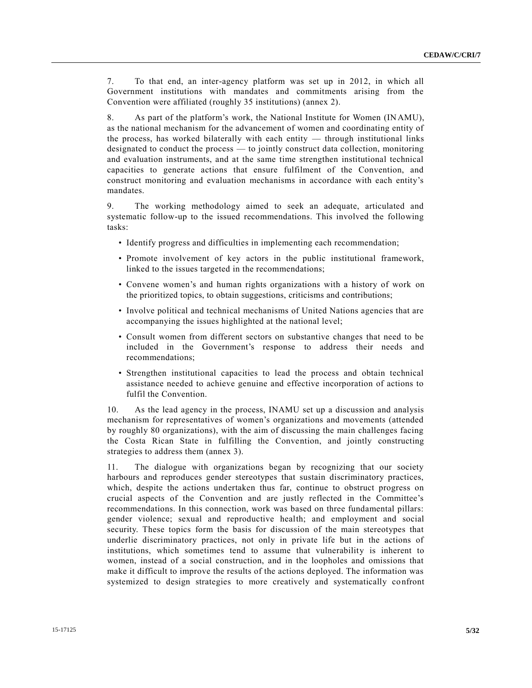7. To that end, an inter-agency platform was set up in 2012, in which all Government institutions with mandates and commitments arising from the Convention were affiliated (roughly 35 institutions) (annex 2).

8. As part of the platform's work, the National Institute for Women (INAMU), as the national mechanism for the advancement of women and coordinating entity of the process, has worked bilaterally with each entity — through institutional links designated to conduct the process — to jointly construct data collection, monitoring and evaluation instruments, and at the same time strengthen institutional technical capacities to generate actions that ensure fulfilment of the Convention, and construct monitoring and evaluation mechanisms in accordance with each entity's mandates.

9. The working methodology aimed to seek an adequate, articulated and systematic follow-up to the issued recommendations. This involved the following tasks:

- Identify progress and difficulties in implementing each recommendation;
- Promote involvement of key actors in the public institutional framework, linked to the issues targeted in the recommendations;
- Convene women's and human rights organizations with a history of work on the prioritized topics, to obtain suggestions, criticisms and contributions;
- Involve political and technical mechanisms of United Nations agencies that are accompanying the issues highlighted at the national level;
- Consult women from different sectors on substantive changes that need to be included in the Government's response to address their needs and recommendations;
- Strengthen institutional capacities to lead the process and obtain technical assistance needed to achieve genuine and effective incorporation of actions to fulfil the Convention.

10. As the lead agency in the process, INAMU set up a discussion and analysis mechanism for representatives of women's organizations and movements (attended by roughly 80 organizations), with the aim of discussing the main challenges facing the Costa Rican State in fulfilling the Convention, and jointly constructing strategies to address them (annex 3).

11. The dialogue with organizations began by recognizing that our society harbours and reproduces gender stereotypes that sustain discriminatory practices, which, despite the actions undertaken thus far, continue to obstruct progress on crucial aspects of the Convention and are justly reflected in the Committee's recommendations. In this connection, work was based on three fundamental pillars: gender violence; sexual and reproductive health; and employment and social security. These topics form the basis for discussion of the main stereotypes that underlie discriminatory practices, not only in private life but in the actions of institutions, which sometimes tend to assume that vulnerability is inherent to women, instead of a social construction, and in the loopholes and omissions that make it difficult to improve the results of the actions deployed. The information was systemized to design strategies to more creatively and systematically confront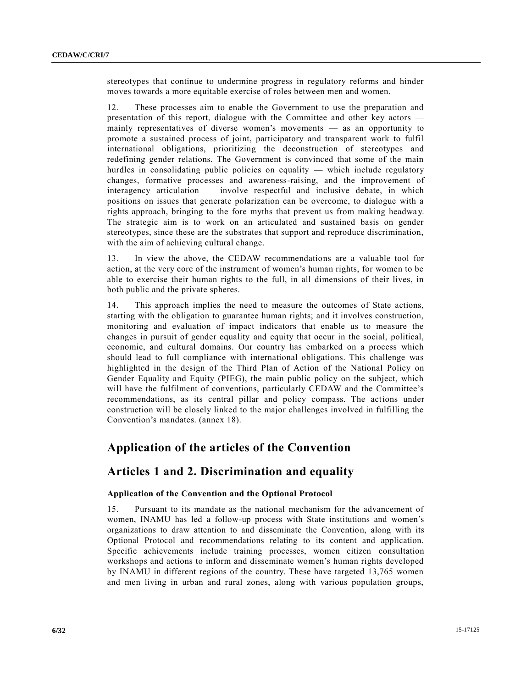stereotypes that continue to undermine progress in regulatory reforms and hinder moves towards a more equitable exercise of roles between men and women.

12. These processes aim to enable the Government to use the preparation and presentation of this report, dialogue with the Committee and other key actors mainly representatives of diverse women's movements — as an opportunity to promote a sustained process of joint, participatory and transparent work to fulfil international obligations, prioritizing the deconstruction of stereotypes and redefining gender relations. The Government is convinced that some of the main hurdles in consolidating public policies on equality — which include regulatory changes, formative processes and awareness-raising, and the improvement of interagency articulation — involve respectful and inclusive debate, in which positions on issues that generate polarization can be overcome, to dialogue with a rights approach, bringing to the fore myths that prevent us from making headwa y. The strategic aim is to work on an articulated and sustained basis on gender stereotypes, since these are the substrates that support and reproduce discrimination, with the aim of achieving cultural change.

13. In view the above, the CEDAW recommendations are a valuable tool for action, at the very core of the instrument of women's human rights, for women to be able to exercise their human rights to the full, in all dimensions of their lives, in both public and the private spheres.

14. This approach implies the need to measure the outcomes of State actions, starting with the obligation to guarantee human rights; and it involves construction, monitoring and evaluation of impact indicators that enable us to measure the changes in pursuit of gender equality and equity that occur in the social, political, economic, and cultural domains. Our country has embarked on a process which should lead to full compliance with international obligations. This challenge was highlighted in the design of the Third Plan of Action of the National Policy on Gender Equality and Equity (PIEG), the main public policy on the subject, which will have the fulfilment of conventions, particularly CEDAW and the Committee's recommendations, as its central pillar and policy compass. The actions under construction will be closely linked to the major challenges involved in fulfilling the Convention's mandates. (annex 18).

#### **Application of the articles of the Convention**

#### **Articles 1 and 2. Discrimination and equality**

#### **Application of the Convention and the Optional Protocol**

15. Pursuant to its mandate as the national mechanism for the advancement of women, INAMU has led a follow-up process with State institutions and women's organizations to draw attention to and disseminate the Convention, along with its Optional Protocol and recommendations relating to its content and application. Specific achievements include training processes, women citizen consultation workshops and actions to inform and disseminate women's human rights developed by INAMU in different regions of the country. These have targeted 13,765 women and men living in urban and rural zones, along with various population groups,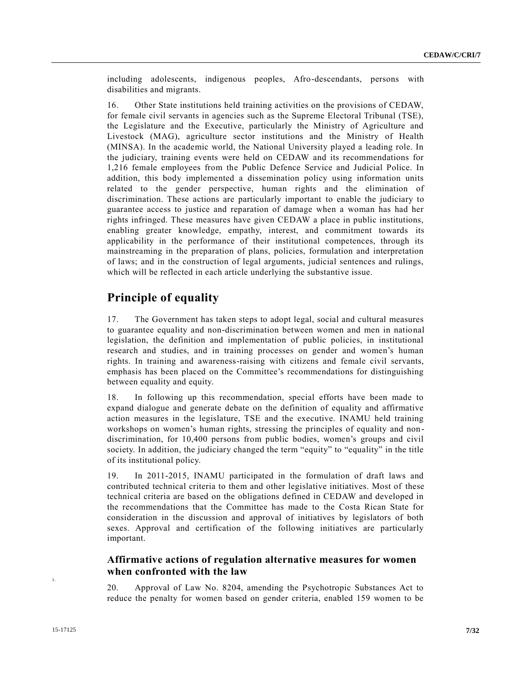including adolescents, indigenous peoples, Afro-descendants, persons with disabilities and migrants.

16. Other State institutions held training activities on the provisions of CEDAW, for female civil servants in agencies such as the Supreme Electoral Tribunal (TSE), the Legislature and the Executive, particularly the Ministry of Agriculture and Livestock (MAG), agriculture sector institutions and the Ministry of Health (MINSA). In the academic world, the National University played a leading role. In the judiciary, training events were held on CEDAW and its recommendations for 1,216 female employees from the Public Defence Service and Judicial Police. In addition, this body implemented a dissemination policy using information units related to the gender perspective, human rights and the elimination of discrimination. These actions are particularly important to enable the judiciary to guarantee access to justice and reparation of damage when a woman has had her rights infringed. These measures have given CEDAW a place in public institutions, enabling greater knowledge, empathy, interest, and commitment towards its applicability in the performance of their institutional competences, through its mainstreaming in the preparation of plans, policies, formulation and interpretation of laws; and in the construction of legal arguments, judicial sentences and rulings, which will be reflected in each article underlying the substantive issue.

## **Principle of equality**

17. The Government has taken steps to adopt legal, social and cultural measures to guarantee equality and non-discrimination between women and men in national legislation, the definition and implementation of public policies, in institutional research and studies, and in training processes on gender and women's human rights. In training and awareness-raising with citizens and female civil servants, emphasis has been placed on the Committee's recommendations for distinguishing between equality and equity.

18. In following up this recommendation, special efforts have been made to expand dialogue and generate debate on the definition of equality and affirmative action measures in the legislature, TSE and the executive. INAMU held training workshops on women's human rights, stressing the principles of equality and nondiscrimination, for 10,400 persons from public bodies, women's groups and civil society. In addition, the judiciary changed the term "equity" to "equality" in the title of its institutional policy.

19. In 2011-2015, INAMU participated in the formulation of draft laws and contributed technical criteria to them and other legislative initiatives. Most of these technical criteria are based on the obligations defined in CEDAW and developed in the recommendations that the Committee has made to the Costa Rican State for consideration in the discussion and approval of initiatives by legislators of both sexes. Approval and certification of the following initiatives are particularly important.

#### **Affirmative actions of regulation alternative measures for women when confronted with the law**

20. Approval of Law No. 8204, amending the Psychotropic Substances Act to reduce the penalty for women based on gender criteria, enabled 159 women to be

1.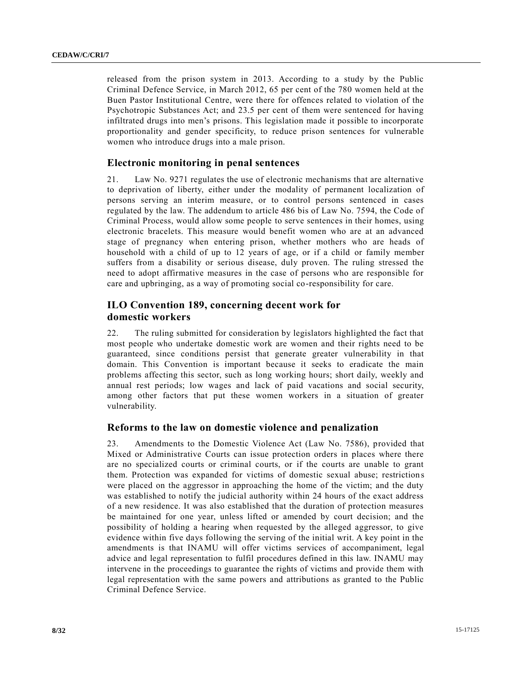released from the prison system in 2013. According to a study by the Public Criminal Defence Service, in March 2012, 65 per cent of the 780 women held at the Buen Pastor Institutional Centre, were there for offences related to violation of the Psychotropic Substances Act; and 23.5 per cent of them were sentenced for having infiltrated drugs into men's prisons. This legislation made it possible to incorporate proportionality and gender specificity, to reduce prison sentences for vulnerable women who introduce drugs into a male prison.

#### **Electronic monitoring in penal sentences**

21. Law No. 9271 regulates the use of electronic mechanisms that are alternative to deprivation of liberty, either under the modality of permanent localization of persons serving an interim measure, or to control persons sentenced in cases regulated by the law. The addendum to article 486 bis of Law No. 7594, the Code of Criminal Process, would allow some people to serve sentences in their homes, using electronic bracelets. This measure would benefit women who are at an advanced stage of pregnancy when entering prison, whether mothers who are heads of household with a child of up to 12 years of age, or if a child or family member suffers from a disability or serious disease, duly proven. The ruling stressed the need to adopt affirmative measures in the case of persons who are responsible for care and upbringing, as a way of promoting social co-responsibility for care.

#### **ILO Convention 189, concerning decent work for domestic workers**

22. The ruling submitted for consideration by legislators highlighted the fact that most people who undertake domestic work are women and their rights need to be guaranteed, since conditions persist that generate greater vulnerability in that domain. This Convention is important because it seeks to eradicate the main problems affecting this sector, such as long working hours; short daily, weekly and annual rest periods; low wages and lack of paid vacations and social security, among other factors that put these women workers in a situation of greater vulnerability.

#### **Reforms to the law on domestic violence and penalization**

23. Amendments to the Domestic Violence Act (Law No. 7586), provided that Mixed or Administrative Courts can issue protection orders in places where there are no specialized courts or criminal courts, or if the courts are unable to grant them. Protection was expanded for victims of domestic sexual abuse; restriction s were placed on the aggressor in approaching the home of the victim; and the duty was established to notify the judicial authority within 24 hours of the exact address of a new residence. It was also established that the duration of protection measures be maintained for one year, unless lifted or amended by court decision; and the possibility of holding a hearing when requested by the alleged aggressor, to give evidence within five days following the serving of the initial writ. A key point in the amendments is that INAMU will offer victims services of accompaniment, legal advice and legal representation to fulfil procedures defined in this law. INAMU may intervene in the proceedings to guarantee the rights of victims and provide them with legal representation with the same powers and attributions as granted to the Public Criminal Defence Service.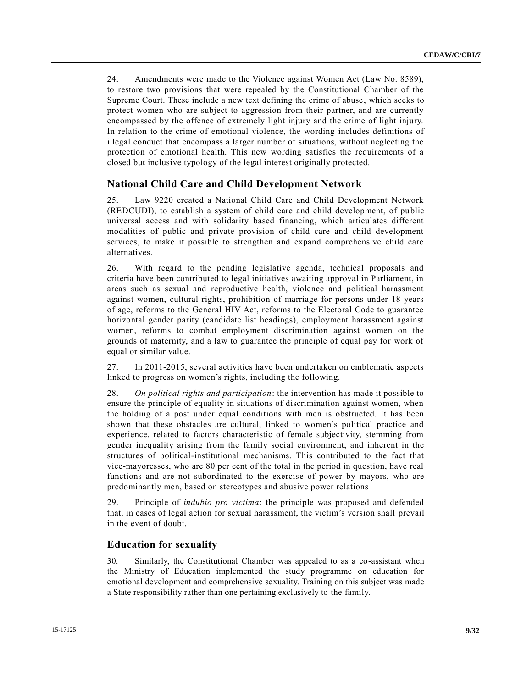24. Amendments were made to the Violence against Women Act (Law No. 8589), to restore two provisions that were repealed by the Constitutional Chamber of the Supreme Court. These include a new text defining the crime of abuse, which seeks to protect women who are subject to aggression from their partner, and are currently encompassed by the offence of extremely light injury and the crime of light injury. In relation to the crime of emotional violence, the wording includes definitions of illegal conduct that encompass a larger number of situations, without neglecting the protection of emotional health. This new wording satisfies the requirements of a closed but inclusive typology of the legal interest originally protected.

#### **National Child Care and Child Development Network**

25. Law 9220 created a National Child Care and Child Development Network (REDCUDI), to establish a system of child care and child development, of public universal access and with solidarity based financing, which articulates different modalities of public and private provision of child care and child development services, to make it possible to strengthen and expand comprehensive child care alternatives.

26. With regard to the pending legislative agenda, technical proposals and criteria have been contributed to legal initiatives awaiting approval in Parliament, in areas such as sexual and reproductive health, violence and political harassment against women, cultural rights, prohibition of marriage for persons under 18 years of age, reforms to the General HIV Act, reforms to the Electoral Code to guarantee horizontal gender parity (candidate list headings), employment harassment against women, reforms to combat employment discrimination against women on the grounds of maternity, and a law to guarantee the principle of equal pay for work of equal or similar value.

27. In 2011-2015, several activities have been undertaken on emblematic aspects linked to progress on women's rights, including the following.

28. *On political rights and participation*: the intervention has made it possible to ensure the principle of equality in situations of discrimination against women, when the holding of a post under equal conditions with men is obstructed. It has been shown that these obstacles are cultural, linked to women's political practice and experience, related to factors characteristic of female subjectivity, stemming from gender inequality arising from the family social environment, and inherent in the structures of political-institutional mechanisms. This contributed to the fact that vice-mayoresses, who are 80 per cent of the total in the period in question, have real functions and are not subordinated to the exercise of power by mayors, who are predominantly men, based on stereotypes and abusive power relations

29. Principle of *indubio pro víctima*: the principle was proposed and defended that, in cases of legal action for sexual harassment, the victim's version shall prevail in the event of doubt.

#### **Education for sexuality**

30. Similarly, the Constitutional Chamber was appealed to as a co-assistant when the Ministry of Education implemented the study programme on education for emotional development and comprehensive sexuality. Training on this subject was made a State responsibility rather than one pertaining exclusively to the family.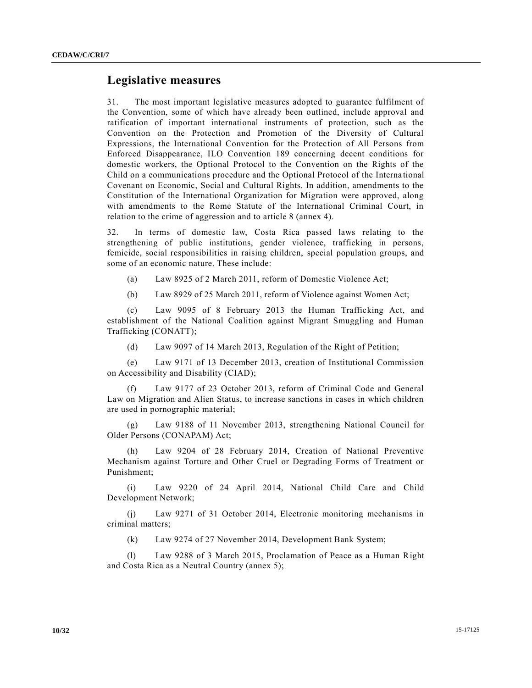#### **Legislative measures**

31. The most important legislative measures adopted to guarantee fulfilment of the Convention, some of which have already been outlined, include approval and ratification of important international instruments of protection, such as the Convention on the Protection and Promotion of the Diversity of Cultural Expressions, the International Convention for the Protection of All Persons from Enforced Disappearance, ILO Convention 189 concerning decent conditions for domestic workers, the Optional Protocol to the Convention on the Rights of the Child on a communications procedure and the Optional Protocol of the Interna tional Covenant on Economic, Social and Cultural Rights. In addition, amendments to the Constitution of the International Organization for Migration were approved, along with amendments to the Rome Statute of the International Criminal Court, in relation to the crime of aggression and to article 8 (annex 4).

32. In terms of domestic law, Costa Rica passed laws relating to the strengthening of public institutions, gender violence, trafficking in persons, femicide, social responsibilities in raising children, special population groups, and some of an economic nature. These include:

- (a) Law 8925 of 2 March 2011, reform of Domestic Violence Act;
- (b) Law 8929 of 25 March 2011, reform of Violence against Women Act;

(c) Law 9095 of 8 February 2013 the Human Trafficking Act, and establishment of the National Coalition against Migrant Smuggling and Human Trafficking (CONATT);

(d) Law 9097 of 14 March 2013, Regulation of the Right of Petition;

(e) Law 9171 of 13 December 2013, creation of Institutional Commission on Accessibility and Disability (CIAD);

(f) Law 9177 of 23 October 2013, reform of Criminal Code and General Law on Migration and Alien Status, to increase sanctions in cases in which children are used in pornographic material;

(g) Law 9188 of 11 November 2013, strengthening National Council for Older Persons (CONAPAM) Act;

(h) Law 9204 of 28 February 2014, Creation of National Preventive Mechanism against Torture and Other Cruel or Degrading Forms of Treatment or Punishment;

(i) Law 9220 of 24 April 2014, National Child Care and Child Development Network;

(j) Law 9271 of 31 October 2014, Electronic monitoring mechanisms in criminal matters;

(k) Law 9274 of 27 November 2014, Development Bank System;

(l) Law 9288 of 3 March 2015, Proclamation of Peace as a Human Right and Costa Rica as a Neutral Country (annex 5);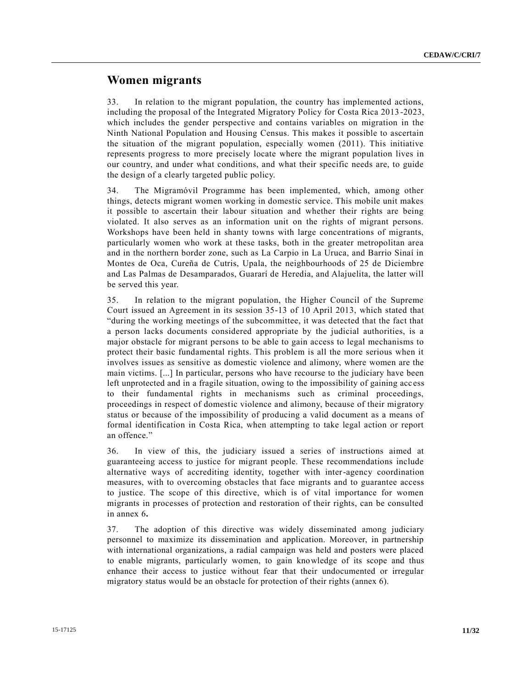#### **Women migrants**

33. In relation to the migrant population, the country has implemented actions, including the proposal of the Integrated Migratory Policy for Costa Rica 2013 -2023, which includes the gender perspective and contains variables on migration in the Ninth National Population and Housing Census. This makes it possible to ascertain the situation of the migrant population, especially women (2011). This initiative represents progress to more precisely locate where the migrant population lives in our country, and under what conditions, and what their specific needs are, to guide the design of a clearly targeted public policy.

34. The Migramóvil Programme has been implemented, which, among other things, detects migrant women working in domestic service. This mobile unit makes it possible to ascertain their labour situation and whether their rights are being violated. It also serves as an information unit on the rights of migrant persons. Workshops have been held in shanty towns with large concentrations of migrants, particularly women who work at these tasks, both in the greater metropolitan area and in the northern border zone, such as La Carpio in La Uruca, and Barrio Sinaí in Montes de Oca, Cureña de Cutris, Upala, the neighbourhoods of 25 de Diciembre and Las Palmas de Desamparados, Guararí de Heredia, and Alajuelita, the latter will be served this year.

35. In relation to the migrant population, the Higher Council of the Supreme Court issued an Agreement in its session 35-13 of 10 April 2013, which stated that "during the working meetings of the subcommittee, it was detected that the fact that a person lacks documents considered appropriate by the judicial authorities, is a major obstacle for migrant persons to be able to gain access to legal mechanisms to protect their basic fundamental rights. This problem is all the more serious when it involves issues as sensitive as domestic violence and alimony, where women are the main victims. [...] In particular, persons who have recourse to the judiciary have been left unprotected and in a fragile situation, owing to the impossibility of gaining acc ess to their fundamental rights in mechanisms such as criminal proceedings, proceedings in respect of domestic violence and alimony, because of their migratory status or because of the impossibility of producing a valid document as a means of formal identification in Costa Rica, when attempting to take legal action or report an offence."

36. In view of this, the judiciary issued a series of instructions aimed at guaranteeing access to justice for migrant people. These recommendations include alternative ways of accrediting identity, together with inter-agency coordination measures, with to overcoming obstacles that face migrants and to guarantee access to justice. The scope of this directive, which is of vital importance for women migrants in processes of protection and restoration of their rights, can be consulted in annex 6**.**

37. The adoption of this directive was widely disseminated among judiciary personnel to maximize its dissemination and application. Moreover, in partnership with international organizations, a radial campaign was held and posters were placed to enable migrants, particularly women, to gain knowledge of its scope and thus enhance their access to justice without fear that their undocumented or irregular migratory status would be an obstacle for protection of their rights (annex 6).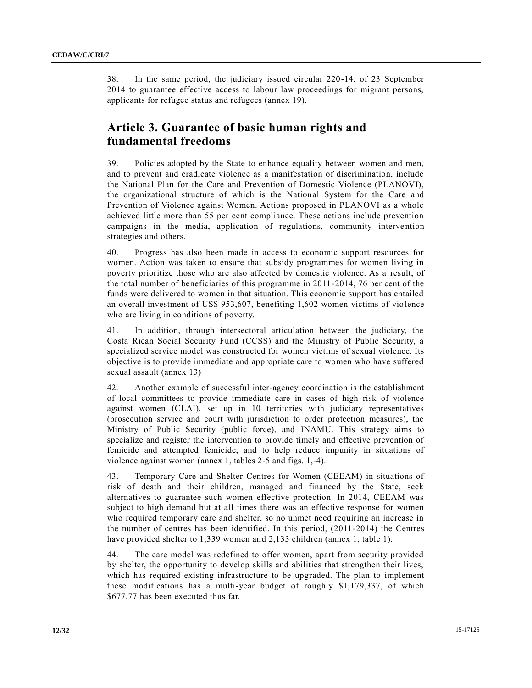38. In the same period, the judiciary issued circular 220-14, of 23 September 2014 to guarantee effective access to labour law proceedings for migrant persons, applicants for refugee status and refugees (annex 19).

### **Article 3. Guarantee of basic human rights and fundamental freedoms**

39. Policies adopted by the State to enhance equality between women and men, and to prevent and eradicate violence as a manifestation of discrimination, include the National Plan for the Care and Prevention of Domestic Violence (PLANOVI), the organizational structure of which is the National System for the Care and Prevention of Violence against Women. Actions proposed in PLANOVI as a whole achieved little more than 55 per cent compliance. These actions include prevention campaigns in the media, application of regulations, community intervention strategies and others.

40. Progress has also been made in access to economic support resources for women. Action was taken to ensure that subsidy programmes for women living in poverty prioritize those who are also affected by domestic violence. As a result, of the total number of beneficiaries of this programme in 2011-2014, 76 per cent of the funds were delivered to women in that situation. This economic support has entailed an overall investment of US\$ 953,607, benefiting 1,602 women victims of violence who are living in conditions of poverty.

41. In addition, through intersectoral articulation between the judiciary, the Costa Rican Social Security Fund (CCSS) and the Ministry of Public Security, a specialized service model was constructed for women victims of sexual violence. Its objective is to provide immediate and appropriate care to women who have suffered sexual assault (annex 13)

42. Another example of successful inter-agency coordination is the establishment of local committees to provide immediate care in cases of high risk of violence against women (CLAI), set up in 10 territories with judiciary representatives (prosecution service and court with jurisdiction to order protection measures), the Ministry of Public Security (public force), and INAMU. This strategy aims to specialize and register the intervention to provide timely and effective prevention of femicide and attempted femicide, and to help reduce impunity in situations of violence against women (annex 1, tables 2-5 and figs. 1,-4).

43. Temporary Care and Shelter Centres for Women (CEEAM) in situations of risk of death and their children, managed and financed by the State, seek alternatives to guarantee such women effective protection. In 2014, CEEAM was subject to high demand but at all times there was an effective response for women who required temporary care and shelter, so no unmet need requiring an increase in the number of centres has been identified. In this period, (2011-2014) the Centres have provided shelter to 1,339 women and 2,133 children (annex 1, table 1).

44. The care model was redefined to offer women, apart from security provided by shelter, the opportunity to develop skills and abilities that strengthen their lives, which has required existing infrastructure to be upgraded. The plan to implement these modifications has a multi-year budget of roughly \$1,179,337, of which \$677.77 has been executed thus far.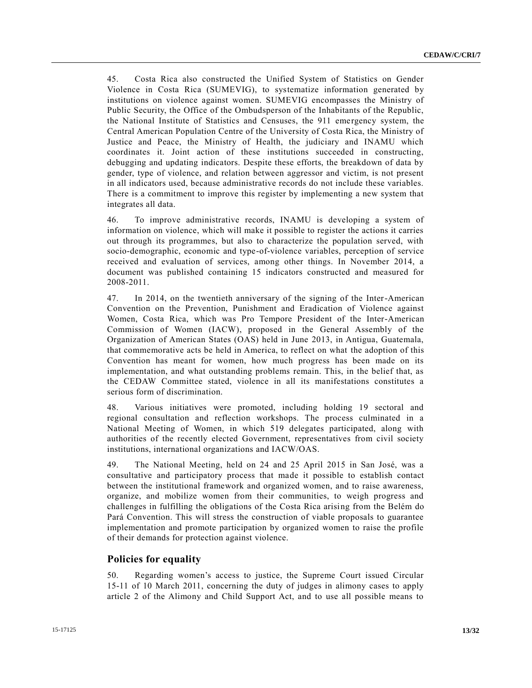45. Costa Rica also constructed the Unified System of Statistics on Gender Violence in Costa Rica (SUMEVIG), to systematize information generated by institutions on violence against women. SUMEVIG encompasses the Ministry of Public Security, the Office of the Ombudsperson of the Inhabitants of the Republic, the National Institute of Statistics and Censuses, the 911 emergency system, the Central American Population Centre of the University of Costa Rica, the Ministry of Justice and Peace, the Ministry of Health, the judiciary and INAMU which coordinates it. Joint action of these institutions succeeded in constructing, debugging and updating indicators. Despite these efforts, the breakdown of data by gender, type of violence, and relation between aggressor and victim, is not present in all indicators used, because administrative records do not include these variables. There is a commitment to improve this register by implementing a new system that integrates all data.

46. To improve administrative records, INAMU is developing a system of information on violence, which will make it possible to register the actions it carries out through its programmes, but also to characterize the population served, with socio-demographic, economic and type-of-violence variables, perception of service received and evaluation of services, among other things. In November 2014, a document was published containing 15 indicators constructed and measured for 2008-2011.

47. In 2014, on the twentieth anniversary of the signing of the Inter-American Convention on the Prevention, Punishment and Eradication of Violence against Women, Costa Rica, which was Pro Tempore President of the Inter-American Commission of Women (IACW), proposed in the General Assembly of the Organization of American States (OAS) held in June 2013, in Antigua, Guatemala, that commemorative acts be held in America, to reflect on what the adoption of this Convention has meant for women, how much progress has been made on its implementation, and what outstanding problems remain. This, in the belief that, as the CEDAW Committee stated, violence in all its manifestations constitutes a serious form of discrimination.

48. Various initiatives were promoted, including holding 19 sectoral and regional consultation and reflection workshops. The process culminated in a National Meeting of Women, in which 519 delegates participated, along with authorities of the recently elected Government, representatives from civil society institutions, international organizations and IACW/OAS.

49. The National Meeting, held on 24 and 25 April 2015 in San José, was a consultative and participatory process that made it possible to establish contact between the institutional framework and organized women, and to raise awareness, organize, and mobilize women from their communities, to weigh progress and challenges in fulfilling the obligations of the Costa Rica arising from the Belém do Pará Convention. This will stress the construction of viable proposals to guarantee implementation and promote participation by organized women to raise the profile of their demands for protection against violence.

#### **Policies for equality**

50. Regarding women's access to justice, the Supreme Court issued Circular 15-11 of 10 March 2011, concerning the duty of judges in alimony cases to apply article 2 of the Alimony and Child Support Act, and to use all possible means to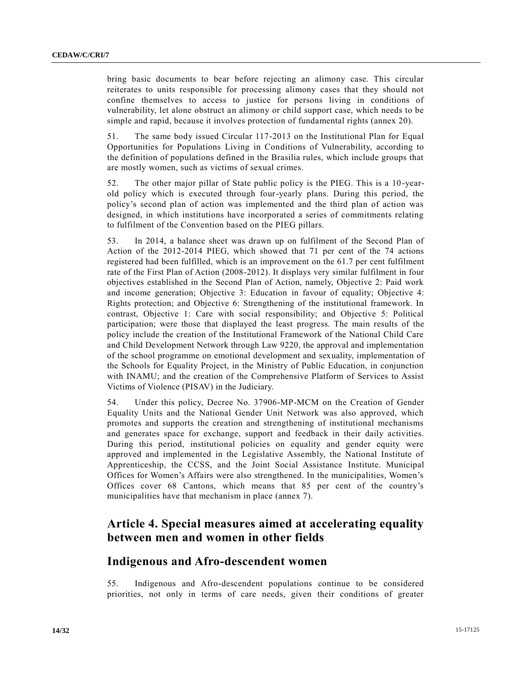bring basic documents to bear before rejecting an alimony case. This circular reiterates to units responsible for processing alimony cases that they should not confine themselves to access to justice for persons living in conditions of vulnerability, let alone obstruct an alimony or child support case, which needs to be simple and rapid, because it involves protection of fundamental rights (annex 20).

51. The same body issued Circular 117-2013 on the Institutional Plan for Equal Opportunities for Populations Living in Conditions of Vulnerability, according to the definition of populations defined in the Brasilia rules, which include groups that are mostly women, such as victims of sexual crimes.

52. The other major pillar of State public policy is the PIEG. This is a 10 -yearold policy which is executed through four-yearly plans. During this period, the policy's second plan of action was implemented and the third plan of action was designed, in which institutions have incorporated a series of commitments relating to fulfilment of the Convention based on the PIEG pillars.

53. In 2014, a balance sheet was drawn up on fulfilment of the Second Plan of Action of the 2012-2014 PIEG, which showed that 71 per cent of the 74 actions registered had been fulfilled, which is an improvement on the 61.7 per cent fulfilment rate of the First Plan of Action (2008-2012). It displays very similar fulfilment in four objectives established in the Second Plan of Action, namely, Objective 2: Paid work and income generation; Objective 3: Education in favour of equality; Objective 4: Rights protection; and Objective 6: Strengthening of the institutional framework. In contrast, Objective 1: Care with social responsibility; and Objective 5: Political participation; were those that displayed the least progress. The main results of the policy include the creation of the Institutional Framework of the National Child Care and Child Development Network through Law 9220, the approval and implementation of the school programme on emotional development and sexuality, implementation of the Schools for Equality Project, in the Ministry of Public Education, in conjunction with INAMU; and the creation of the Comprehensive Platform of Services to Assist Victims of Violence (PISAV) in the Judiciary.

54. Under this policy, Decree No. 37906-MP-MCM on the Creation of Gender Equality Units and the National Gender Unit Network was also approved, which promotes and supports the creation and strengthening of institutional mechanisms and generates space for exchange, support and feedback in their daily activities. During this period, institutional policies on equality and gender equity were approved and implemented in the Legislative Assembly, the National Institute of Apprenticeship, the CCSS, and the Joint Social Assistance Institute. Municipal Offices for Women's Affairs were also strengthened. In the municipalities, Women's Offices cover 68 Cantons, which means that 85 per cent of the country's municipalities have that mechanism in place (annex 7).

### **Article 4. Special measures aimed at accelerating equality between men and women in other fields**

#### **Indigenous and Afro-descendent women**

55. Indigenous and Afro-descendent populations continue to be considered priorities, not only in terms of care needs, given their conditions of greater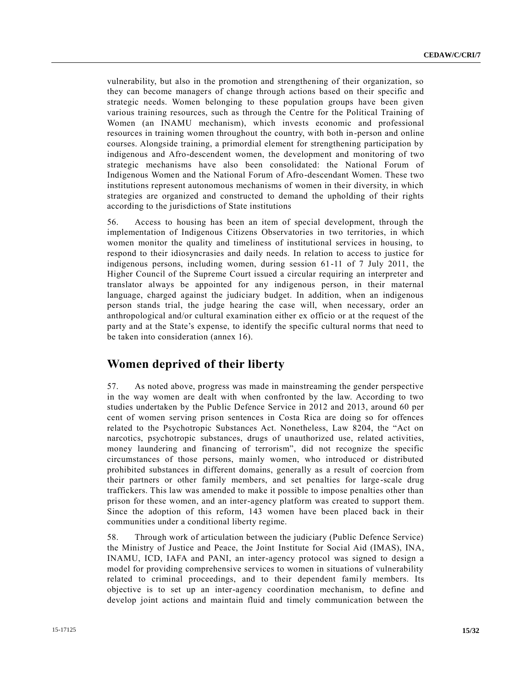vulnerability, but also in the promotion and strengthening of their organization, so they can become managers of change through actions based on their specific and strategic needs. Women belonging to these population groups have been given various training resources, such as through the Centre for the Political Training of Women (an INAMU mechanism), which invests economic and professional resources in training women throughout the country, with both in-person and online courses. Alongside training, a primordial element for strengthening participation by indigenous and Afro-descendent women, the development and monitoring of two strategic mechanisms have also been consolidated: the National Forum of Indigenous Women and the National Forum of Afro-descendant Women. These two institutions represent autonomous mechanisms of women in their diversity, in which strategies are organized and constructed to demand the upholding of their rights according to the jurisdictions of State institutions

56. Access to housing has been an item of special development, through the implementation of Indigenous Citizens Observatories in two territories, in which women monitor the quality and timeliness of institutional services in housing, to respond to their idiosyncrasies and daily needs. In relation to access to justice for indigenous persons, including women, during session 61-11 of 7 July 2011, the Higher Council of the Supreme Court issued a circular requiring an interpreter and translator always be appointed for any indigenous person, in their maternal language, charged against the judiciary budget. In addition, when an indigenous person stands trial, the judge hearing the case will, when necessary, order an anthropological and/or cultural examination either ex officio or at the request of the party and at the State's expense, to identify the specific cultural norms that need to be taken into consideration (annex 16).

#### **Women deprived of their liberty**

57. As noted above, progress was made in mainstreaming the gender perspective in the way women are dealt with when confronted by the law. According to two studies undertaken by the Public Defence Service in 2012 and 2013, around 60 per cent of women serving prison sentences in Costa Rica are doing so for offences related to the Psychotropic Substances Act. Nonetheless, Law 8204, the "Act on narcotics, psychotropic substances, drugs of unauthorized use, related activities, money laundering and financing of terrorism", did not recognize the specific circumstances of those persons, mainly women, who introduced or distributed prohibited substances in different domains, generally as a result of coercion from their partners or other family members, and set penalties for large -scale drug traffickers. This law was amended to make it possible to impose penalties other than prison for these women, and an inter-agency platform was created to support them. Since the adoption of this reform, 143 women have been placed back in their communities under a conditional liberty regime.

58. Through work of articulation between the judiciary (Public Defence Service) the Ministry of Justice and Peace, the Joint Institute for Social Aid (IMAS), INA, INAMU, ICD, IAFA and PANI, an inter-agency protocol was signed to design a model for providing comprehensive services to women in situations of vulnerability related to criminal proceedings, and to their dependent family members. Its objective is to set up an inter-agency coordination mechanism, to define and develop joint actions and maintain fluid and timely communication between the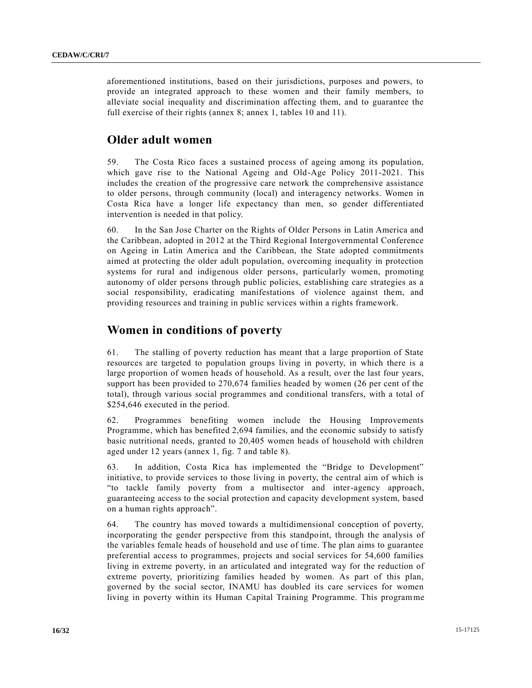aforementioned institutions, based on their jurisdictions, purposes and powers, to provide an integrated approach to these women and their family members, to alleviate social inequality and discrimination affecting them, and to guarantee the full exercise of their rights (annex 8; annex 1, tables 10 and 11).

### **Older adult women**

59. The Costa Rico faces a sustained process of ageing among its population, which gave rise to the National Ageing and Old-Age Policy 2011-2021. This includes the creation of the progressive care network the comprehensive assistance to older persons, through community (local) and interagency networks. Women in Costa Rica have a longer life expectancy than men, so gender differentiated intervention is needed in that policy.

60. In the San Jose Charter on the Rights of Older Persons in Latin America and the Caribbean, adopted in 2012 at the Third Regional Intergovernmental Conference on Ageing in Latin America and the Caribbean, the State adopted commitments aimed at protecting the older adult population, overcoming inequality in protection systems for rural and indigenous older persons, particularly women, promoting autonomy of older persons through public policies, establishing care strategies as a social responsibility, eradicating manifestations of violence against them, and providing resources and training in public services within a rights framework.

### **Women in conditions of poverty**

61. The stalling of poverty reduction has meant that a large proportion of State resources are targeted to population groups living in poverty, in which there is a large proportion of women heads of household. As a result, over the last four years, support has been provided to 270,674 families headed by women (26 per cent of the total), through various social programmes and conditional transfers, with a total of \$254,646 executed in the period.

62. Programmes benefiting women include the Housing Improvements Programme, which has benefited 2,694 families, and the economic subsidy to satisfy basic nutritional needs, granted to 20,405 women heads of household with children aged under 12 years (annex 1, fig. 7 and table 8).

63. In addition, Costa Rica has implemented the "Bridge to Development" initiative, to provide services to those living in poverty, the central aim of which is "to tackle family poverty from a multisector and inter-agency approach, guaranteeing access to the social protection and capacity development system, based on a human rights approach".

64. The country has moved towards a multidimensional conception of poverty, incorporating the gender perspective from this standpoint, through the analysis of the variables female heads of household and use of time. The plan aims to guarantee preferential access to programmes, projects and social services for 54,600 families living in extreme poverty, in an articulated and integrated way for the reduction of extreme poverty, prioritizing families headed by women. As part of this plan, governed by the social sector, INAMU has doubled its care services for women living in poverty within its Human Capital Training Programme. This programme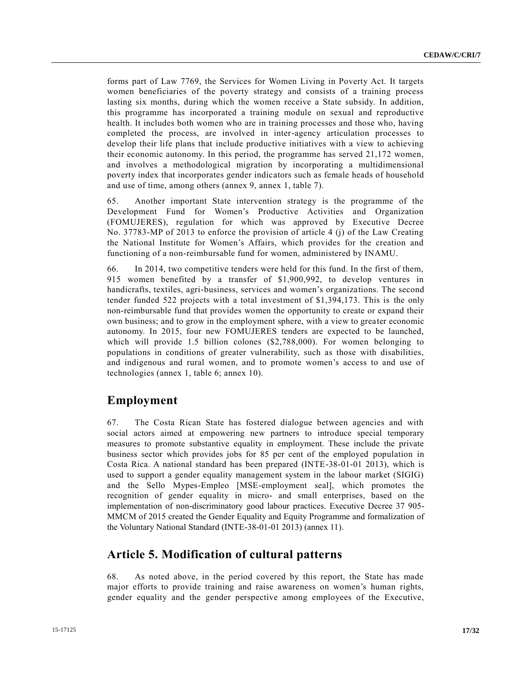forms part of Law 7769, the Services for Women Living in Poverty Act. It targets women beneficiaries of the poverty strategy and consists of a training process lasting six months, during which the women receive a State subsidy. In addition, this programme has incorporated a training module on sexual and reproductive health. It includes both women who are in training processes and those who, having completed the process, are involved in inter-agency articulation processes to develop their life plans that include productive initiatives with a view to achieving their economic autonomy. In this period, the programme has served 21,172 women, and involves a methodological migration by incorporating a multidimensional poverty index that incorporates gender indicators such as female heads of household and use of time, among others (annex 9, annex 1, table 7).

65. Another important State intervention strategy is the programme of the Development Fund for Women's Productive Activities and Organization (FOMUJERES), regulation for which was approved by Executive Decree No. 37783-MP of 2013 to enforce the provision of article 4 (j) of the Law Creating the National Institute for Women's Affairs, which provides for the creation and functioning of a non-reimbursable fund for women, administered by INAMU.

66. In 2014, two competitive tenders were held for this fund. In the first of them, 915 women benefited by a transfer of \$1,900,992, to develop ventures in handicrafts, textiles, agri-business, services and women's organizations. The second tender funded 522 projects with a total investment of \$1,394,173. This is the only non-reimbursable fund that provides women the opportunity to create or expand their own business; and to grow in the employment sphere, with a view to greater economic autonomy. In 2015, four new FOMUJERES tenders are expected to be launched, which will provide 1.5 billion colones (\$2,788,000). For women belonging to populations in conditions of greater vulnerability, such as those with disabilities, and indigenous and rural women, and to promote women's access to and use of technologies (annex 1, table 6; annex 10).

#### **Employment**

67. The Costa Rican State has fostered dialogue between agencies and with social actors aimed at empowering new partners to introduce special temporary measures to promote substantive equality in employment. These include the private business sector which provides jobs for 85 per cent of the employed population in Costa Rica. A national standard has been prepared (INTE-38-01-01 2013), which is used to support a gender equality management system in the labour market (SIGIG) and the Sello Mypes-Empleo [MSE-employment seal], which promotes the recognition of gender equality in micro- and small enterprises, based on the implementation of non-discriminatory good labour practices. Executive Decree 37 905- MMCM of 2015 created the Gender Equality and Equity Programme and formalization of the Voluntary National Standard (INTE-38-01-01 2013) (annex 11).

#### **Article 5. Modification of cultural patterns**

68. As noted above, in the period covered by this report, the State has made major efforts to provide training and raise awareness on women's human rights, gender equality and the gender perspective among employees of the Executive,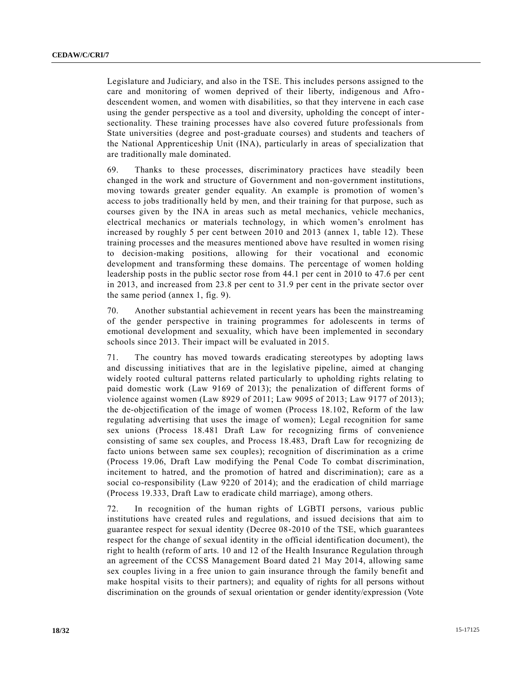Legislature and Judiciary, and also in the TSE. This includes persons assigned to the care and monitoring of women deprived of their liberty, indigenous and Afro descendent women, and women with disabilities, so that they intervene in each case using the gender perspective as a tool and diversity, upholding the concept of intersectionality. These training processes have also covered future professionals from State universities (degree and post-graduate courses) and students and teachers of the National Apprenticeship Unit (INA), particularly in areas of specialization that are traditionally male dominated.

69. Thanks to these processes, discriminatory practices have steadily been changed in the work and structure of Government and non-government institutions, moving towards greater gender equality. An example is promotion of women's access to jobs traditionally held by men, and their training for that purpose, such as courses given by the INA in areas such as metal mechanics, vehicle mechanics, electrical mechanics or materials technology, in which women's enrolment has increased by roughly 5 per cent between 2010 and 2013 (annex 1, table 12). These training processes and the measures mentioned above have resulted in women rising to decision-making positions, allowing for their vocational and economic development and transforming these domains. The percentage of women holding leadership posts in the public sector rose from 44.1 per cent in 2010 to 47.6 per cent in 2013, and increased from 23.8 per cent to 31.9 per cent in the private sector over the same period (annex 1, fig. 9).

70. Another substantial achievement in recent years has been the mainstreaming of the gender perspective in training programmes for adolescents in terms of emotional development and sexuality, which have been implemented in secondary schools since 2013. Their impact will be evaluated in 2015.

71. The country has moved towards eradicating stereotypes by adopting laws and discussing initiatives that are in the legislative pipeline, aimed at changing widely rooted cultural patterns related particularly to upholding rights relating to paid domestic work (Law 9169 of 2013); the penalization of different forms of violence against women (Law 8929 of 2011; Law 9095 of 2013; Law 9177 of 2013); the de-objectification of the image of women (Process 18.102, Reform of the law regulating advertising that uses the image of women); Legal recognition for same sex unions (Process 18.481 Draft Law for recognizing firms of convenience consisting of same sex couples, and Process 18.483, Draft Law for recognizing de facto unions between same sex couples); recognition of discrimination as a crime (Process 19.06, Draft Law modifying the Penal Code To combat discrimination, incitement to hatred, and the promotion of hatred and discrimination); care as a social co-responsibility (Law 9220 of 2014); and the eradication of child marriage (Process 19.333, Draft Law to eradicate child marriage), among others.

72. In recognition of the human rights of LGBTI persons, various public institutions have created rules and regulations, and issued decisions that aim to guarantee respect for sexual identity (Decree 08-2010 of the TSE, which guarantees respect for the change of sexual identity in the official identification document), the right to health (reform of arts. 10 and 12 of the Health Insurance Regulation through an agreement of the CCSS Management Board dated 21 May 2014, allowing same sex couples living in a free union to gain insurance through the family benefit and make hospital visits to their partners); and equality of rights for all persons without discrimination on the grounds of sexual orientation or gender identity/expression (Vote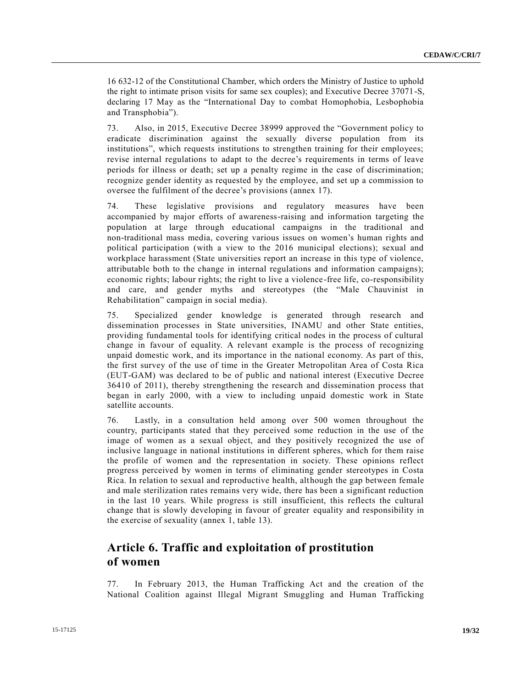16 632-12 of the Constitutional Chamber, which orders the Ministry of Justice to uphold the right to intimate prison visits for same sex couples); and Executive Decree 37071-S, declaring 17 May as the "International Day to combat Homophobia, Lesbophobia and Transphobia").

73. Also, in 2015, Executive Decree 38999 approved the "Government policy to eradicate discrimination against the sexually diverse population from its institutions", which requests institutions to strengthen training for their employees; revise internal regulations to adapt to the decree's requirements in terms of leave periods for illness or death; set up a penalty regime in the case of discrimination; recognize gender identity as requested by the employee, and set up a commission to oversee the fulfilment of the decree's provisions (annex 17).

74. These legislative provisions and regulatory measures have been accompanied by major efforts of awareness-raising and information targeting the population at large through educational campaigns in the traditional and non-traditional mass media, covering various issues on women's human rights and political participation (with a view to the 2016 municipal elections); sexual and workplace harassment (State universities report an increase in this type of violence, attributable both to the change in internal regulations and information campaigns); economic rights; labour rights; the right to live a violence-free life, co-responsibility and care, and gender myths and stereotypes (the "Male Chauvinist in Rehabilitation" campaign in social media).

75. Specialized gender knowledge is generated through research and dissemination processes in State universities, INAMU and other State entities, providing fundamental tools for identifying critical nodes in the process of cultural change in favour of equality. A relevant example is the process of recognizing unpaid domestic work, and its importance in the national economy. As part of this, the first survey of the use of time in the Greater Metropolitan Area of Costa Rica (EUT-GAM) was declared to be of public and national interest (Executive Decree 36410 of 2011), thereby strengthening the research and dissemination process that began in early 2000, with a view to including unpaid domestic work in State satellite accounts.

76. Lastly, in a consultation held among over 500 women throughout the country, participants stated that they perceived some reduction in the use of the image of women as a sexual object, and they positively recognized the use of inclusive language in national institutions in different spheres, which for them raise the profile of women and the representation in society. These opinions reflect progress perceived by women in terms of eliminating gender stereotypes in Costa Rica. In relation to sexual and reproductive health, although the gap between female and male sterilization rates remains very wide, there has been a significant reduction in the last 10 years. While progress is still insufficient, this reflects the cultural change that is slowly developing in favour of greater equality and responsibility in the exercise of sexuality (annex 1, table 13).

### **Article 6. Traffic and exploitation of prostitution of women**

77. In February 2013, the Human Trafficking Act and the creation of the National Coalition against Illegal Migrant Smuggling and Human Trafficking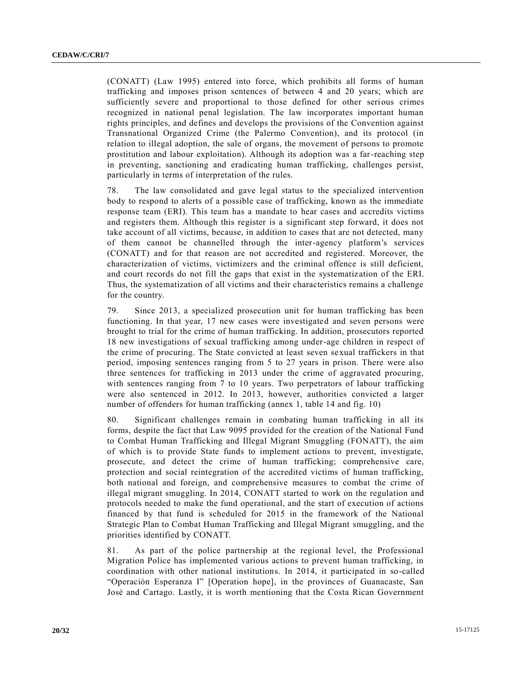(CONATT) (Law 1995) entered into force, which prohibits all forms of human trafficking and imposes prison sentences of between 4 and 20 years; which are sufficiently severe and proportional to those defined for other serious crimes recognized in national penal legislation. The law incorporates important human rights principles, and defines and develops the provisions of the Convention against Transnational Organized Crime (the Palermo Convention), and its protocol (in relation to illegal adoption, the sale of organs, the movement of persons to promote prostitution and labour exploitation). Although its adoption was a far-reaching step in preventing, sanctioning and eradicating human trafficking, challenges persist, particularly in terms of interpretation of the rules.

78. The law consolidated and gave legal status to the specialized intervention body to respond to alerts of a possible case of trafficking, known as the immediate response team (ERI). This team has a mandate to hear cases and accredits victims and registers them. Although this register is a significant step forward, it does not take account of all victims, because, in addition to cases that are not detected, many of them cannot be channelled through the inter-agency platform's services (CONATT) and for that reason are not accredited and registered. Moreover, the characterization of victims, victimizers and the criminal offence is still deficient, and court records do not fill the gaps that exist in the systematization of the ERI. Thus, the systematization of all victims and their characteristics remains a challenge for the country.

79. Since 2013, a specialized prosecution unit for human trafficking has been functioning. In that year, 17 new cases were investigated and seven persons were brought to trial for the crime of human trafficking. In addition, prosecutors reported 18 new investigations of sexual trafficking among under-age children in respect of the crime of procuring. The State convicted at least seven sexual traffickers in that period, imposing sentences ranging from 5 to 27 years in prison. There were also three sentences for trafficking in 2013 under the crime of aggravated procuring, with sentences ranging from 7 to 10 years. Two perpetrators of labour trafficking were also sentenced in 2012. In 2013, however, authorities convicted a larger number of offenders for human trafficking (annex 1, table 14 and fig. 10)

80. Significant challenges remain in combating human trafficking in all its forms, despite the fact that Law 9095 provided for the creation of the National Fund to Combat Human Trafficking and Illegal Migrant Smuggling (FONATT), the aim of which is to provide State funds to implement actions to prevent, investigate, prosecute, and detect the crime of human trafficking; comprehensive care, protection and social reintegration of the accredited victims of human trafficking, both national and foreign, and comprehensive measures to combat the crime of illegal migrant smuggling. In 2014, CONATT started to work on the regulation and protocols needed to make the fund operational, and the start of execution of actions financed by that fund is scheduled for 2015 in the framework of the National Strategic Plan to Combat Human Trafficking and Illegal Migrant smuggling, and the priorities identified by CONATT.

81. As part of the police partnership at the regional level, the Professional Migration Police has implemented various actions to prevent human trafficking, in coordination with other national institutions. In 2014, it participated in so-called "Operación Esperanza I" [Operation hope], in the provinces of Guanacaste, San José and Cartago. Lastly, it is worth mentioning that the Costa Rican Government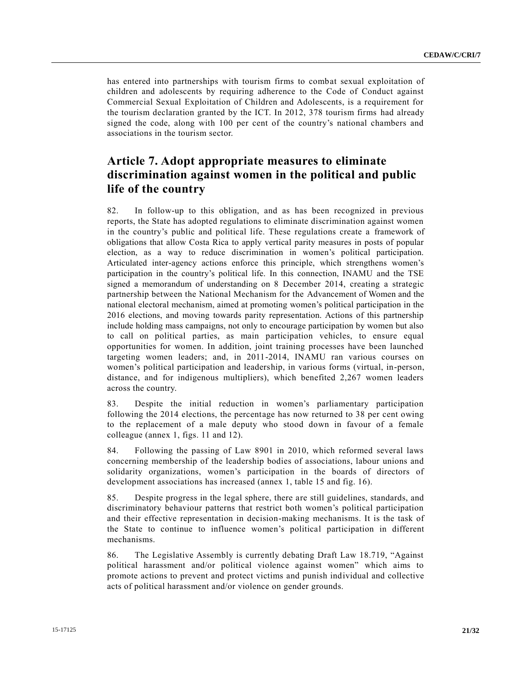has entered into partnerships with tourism firms to combat sexual exploitation of children and adolescents by requiring adherence to the Code of Conduct against Commercial Sexual Exploitation of Children and Adolescents, is a requirement for the tourism declaration granted by the ICT. In 2012, 378 tourism firms had already signed the code, along with 100 per cent of the country's national chambers and associations in the tourism sector.

# **Article 7. Adopt appropriate measures to eliminate discrimination against women in the political and public life of the country**

82. In follow-up to this obligation, and as has been recognized in previous reports, the State has adopted regulations to eliminate discrimination against women in the country's public and political life. These regulations create a framework of obligations that allow Costa Rica to apply vertical parity measures in posts of popular election, as a way to reduce discrimination in women's political participation. Articulated inter-agency actions enforce this principle, which strengthens women's participation in the country's political life. In this connection, INAMU and the TSE signed a memorandum of understanding on 8 December 2014, creating a strategic partnership between the National Mechanism for the Advancement of Women and the national electoral mechanism, aimed at promoting women's political participation in the 2016 elections, and moving towards parity representation. Actions of this partnership include holding mass campaigns, not only to encourage participation by women but also to call on political parties, as main participation vehicles, to ensure equal opportunities for women. In addition, joint training processes have been launched targeting women leaders; and, in 2011-2014, INAMU ran various courses on women's political participation and leadership, in various forms (virtual, in-person, distance, and for indigenous multipliers), which benefited 2,267 women leaders across the country.

83. Despite the initial reduction in women's parliamentary participation following the 2014 elections, the percentage has now returned to 38 per cent owing to the replacement of a male deputy who stood down in favour of a female colleague (annex 1, figs. 11 and 12).

84. Following the passing of Law 8901 in 2010, which reformed several laws concerning membership of the leadership bodies of associations, labour unions and solidarity organizations, women's participation in the boards of directors of development associations has increased (annex 1, table 15 and fig. 16).

85. Despite progress in the legal sphere, there are still guidelines, standards, and discriminatory behaviour patterns that restrict both women's political participation and their effective representation in decision-making mechanisms. It is the task of the State to continue to influence women's political participation in different mechanisms.

86. The Legislative Assembly is currently debating Draft Law 18.719, "Against political harassment and/or political violence against women" which aims to promote actions to prevent and protect victims and punish individual and collective acts of political harassment and/or violence on gender grounds.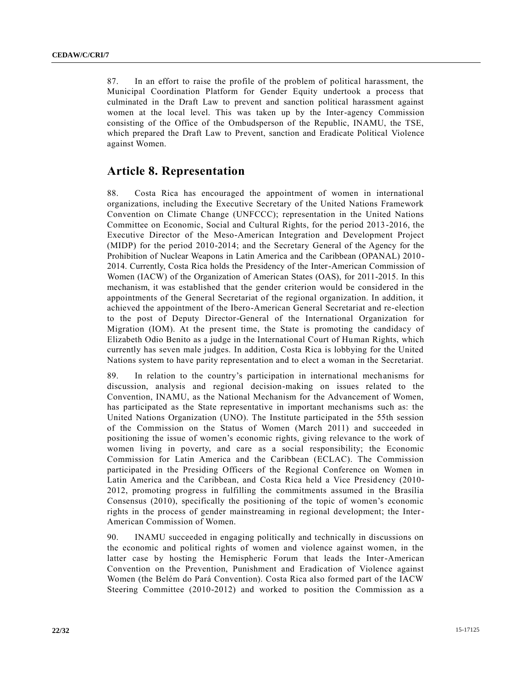87. In an effort to raise the profile of the problem of political harassment, the Municipal Coordination Platform for Gender Equity undertook a process that culminated in the Draft Law to prevent and sanction political harassment against women at the local level. This was taken up by the Inter-agency Commission consisting of the Office of the Ombudsperson of the Republic, INAMU, the TSE, which prepared the Draft Law to Prevent, sanction and Eradicate Political Violence against Women.

### **Article 8. Representation**

88. Costa Rica has encouraged the appointment of women in international organizations, including the Executive Secretary of the United Nations Framework Convention on Climate Change (UNFCCC); representation in the United Nations Committee on Economic, Social and Cultural Rights, for the period 2013 -2016, the Executive Director of the Meso-American Integration and Development Project (MIDP) for the period 2010-2014; and the Secretary General of the Agency for the Prohibition of Nuclear Weapons in Latin America and the Caribbean (OPANAL) 2010- 2014. Currently, Costa Rica holds the Presidency of the Inter-American Commission of Women (IACW) of the Organization of American States (OAS), for 2011-2015. In this mechanism, it was established that the gender criterion would be considered in the appointments of the General Secretariat of the regional organization. In addition, it achieved the appointment of the Ibero-American General Secretariat and re-election to the post of Deputy Director-General of the International Organization for Migration (IOM). At the present time, the State is promoting the candidacy of Elizabeth Odio Benito as a judge in the International Court of Human Rights, which currently has seven male judges. In addition, Costa Rica is lobbying for the United Nations system to have parity representation and to elect a woman in the Secretariat.

89. In relation to the country's participation in international mechanisms for discussion, analysis and regional decision-making on issues related to the Convention, INAMU, as the National Mechanism for the Advancement of Women, has participated as the State representative in important mechanisms such as: the United Nations Organization (UNO). The Institute participated in the 55th session of the Commission on the Status of Women (March 2011) and succeeded in positioning the issue of women's economic rights, giving relevance to the work of women living in poverty, and care as a social responsibility; the Economic Commission for Latin America and the Caribbean (ECLAC). The Commission participated in the Presiding Officers of the Regional Conference on Women in Latin America and the Caribbean, and Costa Rica held a Vice Presidency (2010- 2012, promoting progress in fulfilling the commitments assumed in the Brasília Consensus (2010), specifically the positioning of the topic of women's economic rights in the process of gender mainstreaming in regional development; the Inter-American Commission of Women.

90. INAMU succeeded in engaging politically and technically in discussions on the economic and political rights of women and violence against women, in the latter case by hosting the Hemispheric Forum that leads the Inter-American Convention on the Prevention, Punishment and Eradication of Violence against Women (the Belém do Pará Convention). Costa Rica also formed part of the IACW Steering Committee (2010-2012) and worked to position the Commission as a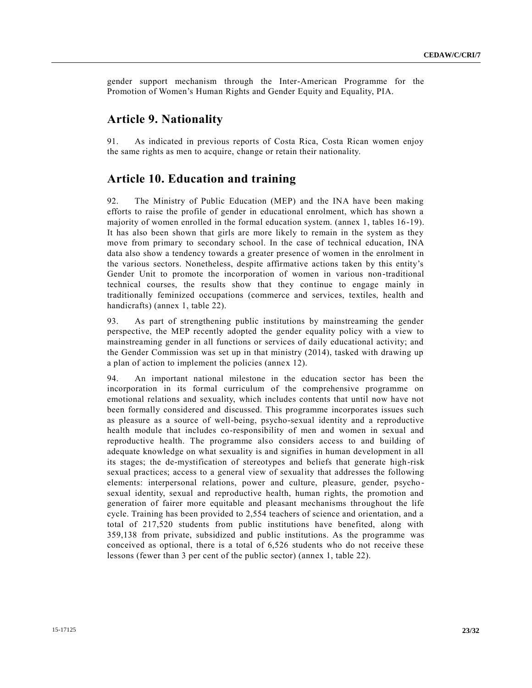gender support mechanism through the Inter-American Programme for the Promotion of Women's Human Rights and Gender Equity and Equality, PIA.

#### **Article 9. Nationality**

91. As indicated in previous reports of Costa Rica, Costa Rican women enjoy the same rights as men to acquire, change or retain their nationality.

#### **Article 10. Education and training**

92. The Ministry of Public Education (MEP) and the INA have been making efforts to raise the profile of gender in educational enrolment, which has shown a majority of women enrolled in the formal education system. (annex 1, tables 16-19). It has also been shown that girls are more likely to remain in the system as they move from primary to secondary school. In the case of technical education, INA data also show a tendency towards a greater presence of women in the enrolment in the various sectors. Nonetheless, despite affirmative actions taken by this entity's Gender Unit to promote the incorporation of women in various non-traditional technical courses, the results show that they continue to engage mainly in traditionally feminized occupations (commerce and services, textiles, health and handicrafts) (annex 1, table 22).

93. As part of strengthening public institutions by mainstreaming the gender perspective, the MEP recently adopted the gender equality policy with a view to mainstreaming gender in all functions or services of daily educational activity; and the Gender Commission was set up in that ministry (2014), tasked with drawing up a plan of action to implement the policies (annex 12).

94. An important national milestone in the education sector has been the incorporation in its formal curriculum of the comprehensive programme on emotional relations and sexuality, which includes contents that until now have not been formally considered and discussed. This programme incorporates issues such as pleasure as a source of well-being, psycho-sexual identity and a reproductive health module that includes co-responsibility of men and women in sexual and reproductive health. The programme also considers access to and building of adequate knowledge on what sexuality is and signifies in human development in all its stages; the de-mystification of stereotypes and beliefs that generate high-risk sexual practices; access to a general view of sexuality that addresses the following elements: interpersonal relations, power and culture, pleasure, gender, psycho sexual identity, sexual and reproductive health, human rights, the promotion and generation of fairer more equitable and pleasant mechanisms throughout the life cycle. Training has been provided to 2,554 teachers of science and orientation, and a total of 217,520 students from public institutions have benefited, along with 359,138 from private, subsidized and public institutions. As the programme was conceived as optional, there is a total of 6,526 students who do not receive these lessons (fewer than 3 per cent of the public sector) (annex 1, table 22).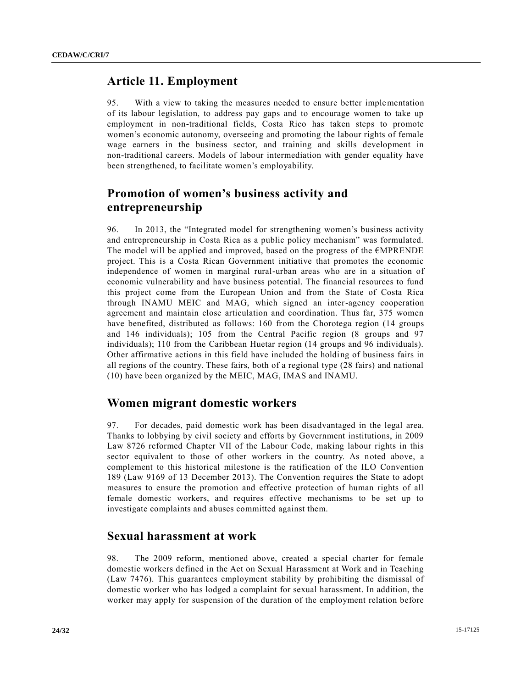#### **Article 11. Employment**

95. With a view to taking the measures needed to ensure better implementation of its labour legislation, to address pay gaps and to encourage women to take up employment in non-traditional fields, Costa Rico has taken steps to promote women's economic autonomy, overseeing and promoting the labour rights of female wage earners in the business sector, and training and skills development in non-traditional careers. Models of labour intermediation with gender equality have been strengthened, to facilitate women's employability.

# **Promotion of women's business activity and entrepreneurship**

96. In 2013, the "Integrated model for strengthening women's business activity and entrepreneurship in Costa Rica as a public policy mechanism" was formulated. The model will be applied and improved, based on the progress of the  $\epsilon$ MPRENDE project. This is a Costa Rican Government initiative that promotes the economic independence of women in marginal rural-urban areas who are in a situation of economic vulnerability and have business potential. The financial resources to fund this project come from the European Union and from the State of Costa Rica through INAMU MEIC and MAG, which signed an inter-agency cooperation agreement and maintain close articulation and coordination. Thus far, 375 women have benefited, distributed as follows: 160 from the Chorotega region (14 groups and 146 individuals); 105 from the Central Pacific region (8 groups and 97 individuals); 110 from the Caribbean Huetar region (14 groups and 96 individuals). Other affirmative actions in this field have included the holding of business fairs in all regions of the country. These fairs, both of a regional type (28 fairs) and national (10) have been organized by the MEIC, MAG, IMAS and INAMU.

#### **Women migrant domestic workers**

97. For decades, paid domestic work has been disadvantaged in the legal area. Thanks to lobbying by civil society and efforts by Government institutions, in 2009 Law 8726 reformed Chapter VII of the Labour Code, making labour rights in this sector equivalent to those of other workers in the country. As noted above, a complement to this historical milestone is the ratification of the ILO Convention 189 (Law 9169 of 13 December 2013). The Convention requires the State to adopt measures to ensure the promotion and effective protection of human rights of all female domestic workers, and requires effective mechanisms to be set up to investigate complaints and abuses committed against them.

#### **Sexual harassment at work**

98. The 2009 reform, mentioned above, created a special charter for female domestic workers defined in the Act on Sexual Harassment at Work and in Teaching (Law 7476). This guarantees employment stability by prohibiting the dismissal of domestic worker who has lodged a complaint for sexual harassment. In addition, the worker may apply for suspension of the duration of the employment relation before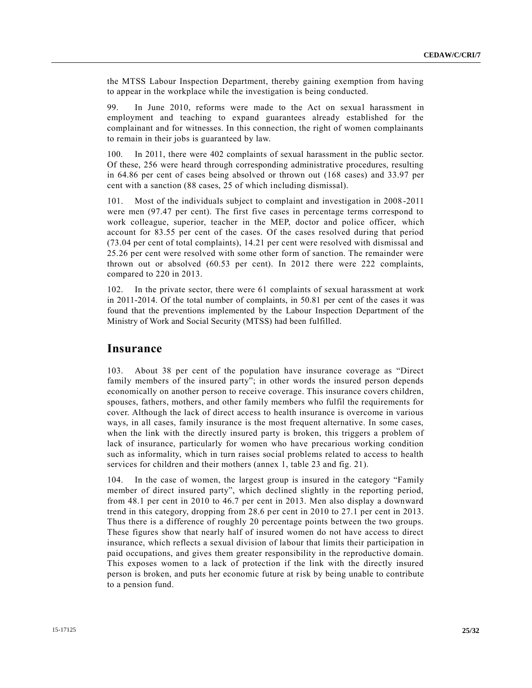the MTSS Labour Inspection Department, thereby gaining exemption from having to appear in the workplace while the investigation is being conducted.

99. In June 2010, reforms were made to the Act on sexual harassment in employment and teaching to expand guarantees already established for the complainant and for witnesses. In this connection, the right of women complainants to remain in their jobs is guaranteed by law.

100. In 2011, there were 402 complaints of sexual harassment in the public sector. Of these, 256 were heard through corresponding administrative procedures, resulting in 64.86 per cent of cases being absolved or thrown out (168 cases) and 33.97 per cent with a sanction (88 cases, 25 of which including dismissal).

101. Most of the individuals subject to complaint and investigation in 2008 -2011 were men (97.47 per cent). The first five cases in percentage terms correspond to work colleague, superior, teacher in the MEP, doctor and police officer, which account for 83.55 per cent of the cases. Of the cases resolved during that period (73.04 per cent of total complaints), 14.21 per cent were resolved with dismissal and 25.26 per cent were resolved with some other form of sanction. The remainder were thrown out or absolved (60.53 per cent). In 2012 there were 222 complaints, compared to 220 in 2013.

102. In the private sector, there were 61 complaints of sexual harassment at work in 2011-2014. Of the total number of complaints, in 50.81 per cent of the cases it was found that the preventions implemented by the Labour Inspection Department of the Ministry of Work and Social Security (MTSS) had been fulfilled.

#### **Insurance**

103. About 38 per cent of the population have insurance coverage as "Direct family members of the insured party"; in other words the insured person depends economically on another person to receive coverage. This insurance covers children, spouses, fathers, mothers, and other family members who fulfil the requirements for cover. Although the lack of direct access to health insurance is overcome in various ways, in all cases, family insurance is the most frequent alternative. In some cases, when the link with the directly insured party is broken, this triggers a problem of lack of insurance, particularly for women who have precarious working condition such as informality, which in turn raises social problems related to access to health services for children and their mothers (annex 1, table 23 and fig. 21).

104. In the case of women, the largest group is insured in the category "Family member of direct insured party", which declined slightly in the reporting period, from 48.1 per cent in 2010 to 46.7 per cent in 2013. Men also display a downward trend in this category, dropping from 28.6 per cent in 2010 to 27.1 per cent in 2013. Thus there is a difference of roughly 20 percentage points between the two groups. These figures show that nearly half of insured women do not have access to direct insurance, which reflects a sexual division of labour that limits their participation in paid occupations, and gives them greater responsibility in the reproductive domain. This exposes women to a lack of protection if the link with the directly insured person is broken, and puts her economic future at risk by being unable to contribute to a pension fund.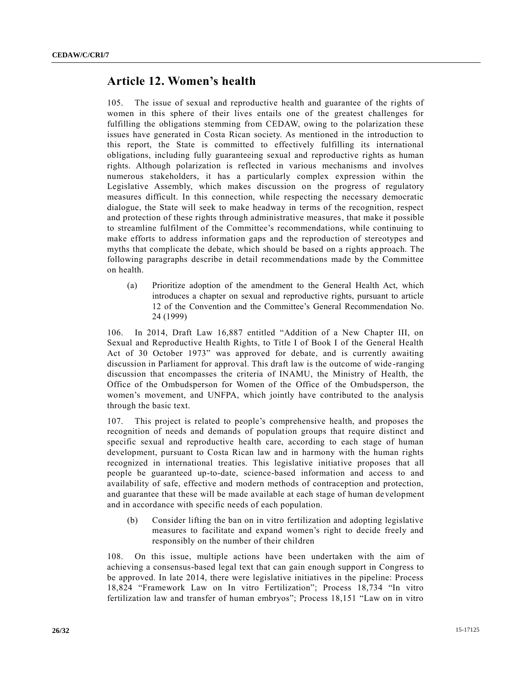#### **Article 12. Women's health**

105. The issue of sexual and reproductive health and guarantee of the rights of women in this sphere of their lives entails one of the greatest challenges for fulfilling the obligations stemming from CEDAW, owing to the polarization these issues have generated in Costa Rican society. As mentioned in the introduction to this report, the State is committed to effectively fulfilling its international obligations, including fully guaranteeing sexual and reproductive rights as human rights. Although polarization is reflected in various mechanisms and involves numerous stakeholders, it has a particularly complex expression within the Legislative Assembly, which makes discussion on the progress of regulatory measures difficult. In this connection, while respecting the necessary democratic dialogue, the State will seek to make headway in terms of the recognition, respect and protection of these rights through administrative measures, that make it possible to streamline fulfilment of the Committee's recommendations, while continuing to make efforts to address information gaps and the reproduction of stereotypes and myths that complicate the debate, which should be based on a rights approach. The following paragraphs describe in detail recommendations made by the Committee on health.

(a) Prioritize adoption of the amendment to the General Health Act, which introduces a chapter on sexual and reproductive rights, pursuant to article 12 of the Convention and the Committee's General Recommendation No. 24 (1999)

106. In 2014, Draft Law 16,887 entitled "Addition of a New Chapter III, on Sexual and Reproductive Health Rights, to Title I of Book I of the General Health Act of 30 October 1973" was approved for debate, and is currently awaiting discussion in Parliament for approval. This draft law is the outcome of wide -ranging discussion that encompasses the criteria of INAMU, the Ministry of Health, the Office of the Ombudsperson for Women of the Office of the Ombudsperson, the women's movement, and UNFPA, which jointly have contributed to the analysis through the basic text.

107. This project is related to people's comprehensive health, and proposes the recognition of needs and demands of population groups that require distinct and specific sexual and reproductive health care, according to each stage of human development, pursuant to Costa Rican law and in harmony with the human rights recognized in international treaties. This legislative initiative proposes that all people be guaranteed up-to-date, science-based information and access to and availability of safe, effective and modern methods of contraception and protection, and guarantee that these will be made available at each stage of human development and in accordance with specific needs of each population.

(b) Consider lifting the ban on in vitro fertilization and adopting legislative measures to facilitate and expand women's right to decide freely and responsibly on the number of their children

108. On this issue, multiple actions have been undertaken with the aim of achieving a consensus-based legal text that can gain enough support in Congress to be approved. In late 2014, there were legislative initiatives in the pipeline: Process 18,824 "Framework Law on In vitro Fertilization"; Process 18,734 "In vitro fertilization law and transfer of human embryos"; Process 18,151 "Law on in vitro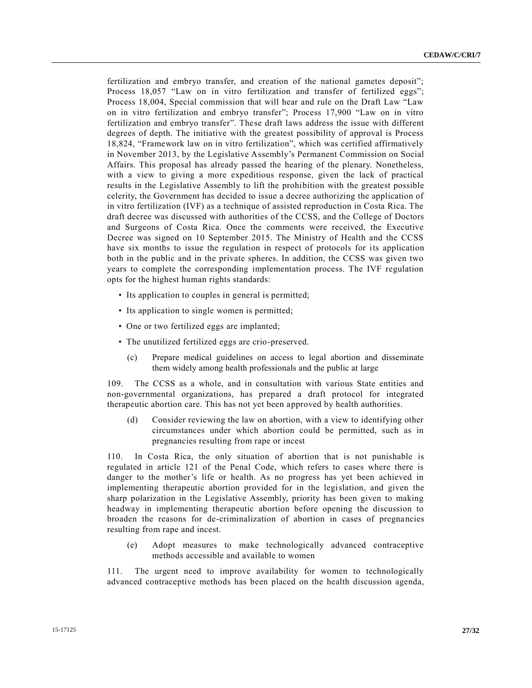fertilization and embryo transfer, and creation of the national gametes deposit"; Process 18,057 "Law on in vitro fertilization and transfer of fertilized eggs"; Process 18,004, Special commission that will hear and rule on the Draft Law "Law on in vitro fertilization and embryo transfer"; Process 17,900 "Law on in vitro fertilization and embryo transfer". These draft laws address the issue with different degrees of depth. The initiative with the greatest possibility of approval is Process 18,824, "Framework law on in vitro fertilization", which was certified affirmatively in November 2013, by the Legislative Assembly's Permanent Commission on Social Affairs. This proposal has already passed the hearing of the plenary. Nonetheless, with a view to giving a more expeditious response, given the lack of practical results in the Legislative Assembly to lift the prohibition with the greatest possible celerity, the Government has decided to issue a decree authorizing the application of in vitro fertilization (IVF) as a technique of assisted reproduction in Costa Rica. The draft decree was discussed with authorities of the CCSS, and the College of Doctors and Surgeons of Costa Rica. Once the comments were received, the Executive Decree was signed on 10 September 2015. The Ministry of Health and the CCSS have six months to issue the regulation in respect of protocols for its application both in the public and in the private spheres. In addition, the CCSS was given two years to complete the corresponding implementation process. The IVF regulation opts for the highest human rights standards:

- Its application to couples in general is permitted;
- Its application to single women is permitted;
- One or two fertilized eggs are implanted;
- The unutilized fertilized eggs are crio-preserved.
	- (c) Prepare medical guidelines on access to legal abortion and disseminate them widely among health professionals and the public at large

109. The CCSS as a whole, and in consultation with various State entities and non-governmental organizations, has prepared a draft protocol for integrated therapeutic abortion care. This has not yet been approved by health authorities.

(d) Consider reviewing the law on abortion, with a view to identifying other circumstances under which abortion could be permitted, such as in pregnancies resulting from rape or incest

110. In Costa Rica, the only situation of abortion that is not punishable is regulated in article 121 of the Penal Code, which refers to cases where there is danger to the mother's life or health. As no progress has yet been achieved in implementing therapeutic abortion provided for in the legislation, and given the sharp polarization in the Legislative Assembly, priority has been given to making headway in implementing therapeutic abortion before opening the discussion to broaden the reasons for de-criminalization of abortion in cases of pregnancies resulting from rape and incest.

(e) Adopt measures to make technologically advanced contraceptive methods accessible and available to women

111. The urgent need to improve availability for women to technologically advanced contraceptive methods has been placed on the health discussion agenda,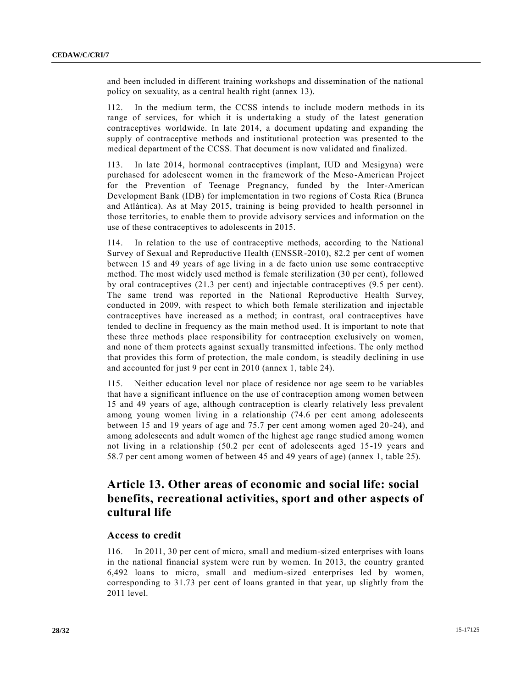and been included in different training workshops and dissemination of the national policy on sexuality, as a central health right (annex 13).

112. In the medium term, the CCSS intends to include modern methods in its range of services, for which it is undertaking a study of the latest generation contraceptives worldwide. In late 2014, a document updating and expanding the supply of contraceptive methods and institutional protection was presented to the medical department of the CCSS. That document is now validated and finalized.

113. In late 2014, hormonal contraceptives (implant, IUD and Mesigyna) were purchased for adolescent women in the framework of the Meso-American Project for the Prevention of Teenage Pregnancy, funded by the Inter-American Development Bank (IDB) for implementation in two regions of Costa Rica (Brunca and Atlántica). As at May 2015, training is being provided to health personnel in those territories, to enable them to provide advisory services and information on the use of these contraceptives to adolescents in 2015.

114. In relation to the use of contraceptive methods, according to the National Survey of Sexual and Reproductive Health (ENSSR-2010), 82.2 per cent of women between 15 and 49 years of age living in a de facto union use some contraceptive method. The most widely used method is female sterilization (30 per cent), followed by oral contraceptives (21.3 per cent) and injectable contraceptives (9.5 per cent). The same trend was reported in the National Reproductive Health Survey, conducted in 2009, with respect to which both female sterilization and injectable contraceptives have increased as a method; in contrast, oral contraceptives have tended to decline in frequency as the main method used. It is important to note that these three methods place responsibility for contraception exclusively on women, and none of them protects against sexually transmitted infections. The only method that provides this form of protection, the male condom, is steadily declining in use and accounted for just 9 per cent in 2010 (annex 1, table 24).

115. Neither education level nor place of residence nor age seem to be variables that have a significant influence on the use of contraception among women between 15 and 49 years of age, although contraception is clearly relatively less prevalent among young women living in a relationship (74.6 per cent among adolescents between 15 and 19 years of age and 75.7 per cent among women aged 20-24), and among adolescents and adult women of the highest age range studied among women not living in a relationship (50.2 per cent of adolescents aged 15-19 years and 58.7 per cent among women of between 45 and 49 years of age) (annex 1, table 25).

# **Article 13. Other areas of economic and social life: social benefits, recreational activities, sport and other aspects of cultural life**

#### **Access to credit**

116. In 2011, 30 per cent of micro, small and medium-sized enterprises with loans in the national financial system were run by women. In 2013, the country granted 6,492 loans to micro, small and medium-sized enterprises led by women, corresponding to 31.73 per cent of loans granted in that year, up slightly from the 2011 level.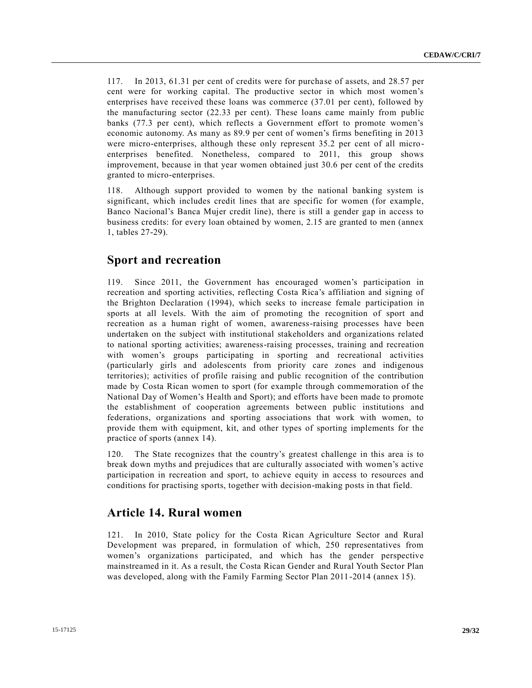117. In 2013, 61.31 per cent of credits were for purchase of assets, and 28.57 per cent were for working capital. The productive sector in which most women's enterprises have received these loans was commerce (37.01 per cent), followed by the manufacturing sector (22.33 per cent). These loans came mainly from public banks (77.3 per cent), which reflects a Government effort to promote women's economic autonomy. As many as 89.9 per cent of women's firms benefiting in 2013 were micro-enterprises, although these only represent 35.2 per cent of all microenterprises benefited. Nonetheless, compared to 2011, this group shows improvement, because in that year women obtained just 30.6 per cent of the credits granted to micro-enterprises.

118. Although support provided to women by the national banking system is significant, which includes credit lines that are specific for women (for example, Banco Nacional's Banca Mujer credit line), there is still a gender gap in access to business credits: for every loan obtained by women, 2.15 are granted to men (annex 1, tables 27-29).

### **Sport and recreation**

119. Since 2011, the Government has encouraged women's participation in recreation and sporting activities, reflecting Costa Rica's affiliation and signing of the Brighton Declaration (1994), which seeks to increase female participation in sports at all levels. With the aim of promoting the recognition of sport and recreation as a human right of women, awareness-raising processes have been undertaken on the subject with institutional stakeholders and organizations related to national sporting activities; awareness-raising processes, training and recreation with women's groups participating in sporting and recreational activities (particularly girls and adolescents from priority care zones and indigenous territories); activities of profile raising and public recognition of the contribution made by Costa Rican women to sport (for example through commemoration of the National Day of Women's Health and Sport); and efforts have been made to promote the establishment of cooperation agreements between public institutions and federations, organizations and sporting associations that work with women, to provide them with equipment, kit, and other types of sporting implements for the practice of sports (annex 14).

120. The State recognizes that the country's greatest challenge in this area is to break down myths and prejudices that are culturally associated with women's active participation in recreation and sport, to achieve equity in access to resources and conditions for practising sports, together with decision-making posts in that field.

### **Article 14. Rural women**

121. In 2010, State policy for the Costa Rican Agriculture Sector and Rural Development was prepared, in formulation of which, 250 representatives from women's organizations participated, and which has the gender perspective mainstreamed in it. As a result, the Costa Rican Gender and Rural Youth Sector Plan was developed, along with the Family Farming Sector Plan 2011-2014 (annex 15).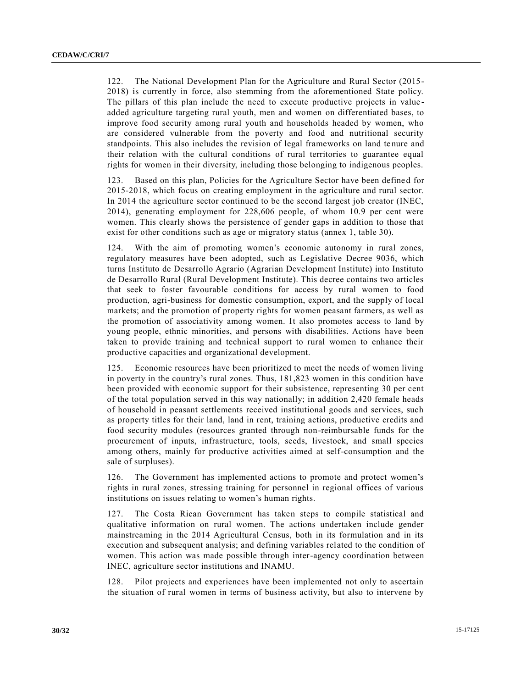122. The National Development Plan for the Agriculture and Rural Sector (2015- 2018) is currently in force, also stemming from the aforementioned State policy. The pillars of this plan include the need to execute productive projects in value added agriculture targeting rural youth, men and women on differentiated bases, to improve food security among rural youth and households headed by women, who are considered vulnerable from the poverty and food and nutritional security standpoints. This also includes the revision of legal frameworks on land te nure and their relation with the cultural conditions of rural territories to guarantee equal rights for women in their diversity, including those belonging to indigenous peoples.

123. Based on this plan, Policies for the Agriculture Sector have been defined for 2015-2018, which focus on creating employment in the agriculture and rural sector. In 2014 the agriculture sector continued to be the second largest job creator (INEC, 2014), generating employment for 228,606 people, of whom 10.9 per cent were women. This clearly shows the persistence of gender gaps in addition to those that exist for other conditions such as age or migratory status (annex 1, table 30).

124. With the aim of promoting women's economic autonomy in rural zones, regulatory measures have been adopted, such as Legislative Decree 9036, which turns Instituto de Desarrollo Agrario (Agrarian Development Institute) into Instituto de Desarrollo Rural (Rural Development Institute). This decree contains two articles that seek to foster favourable conditions for access by rural women to food production, agri-business for domestic consumption, export, and the supply of local markets; and the promotion of property rights for women peasant farmers, as well as the promotion of associativity among women. It also promotes access to land by young people, ethnic minorities, and persons with disabilities. Actions have been taken to provide training and technical support to rural women to enhance their productive capacities and organizational development.

125. Economic resources have been prioritized to meet the needs of women living in poverty in the country's rural zones. Thus, 181,823 women in this condition have been provided with economic support for their subsistence, representing 30 per cent of the total population served in this way nationally; in addition  $2,420$  female heads of household in peasant settlements received institutional goods and services, such as property titles for their land, land in rent, training actions, productive credits and food security modules (resources granted through non-reimbursable funds for the procurement of inputs, infrastructure, tools, seeds, livestock, and small species among others, mainly for productive activities aimed at self-consumption and the sale of surpluses).

126. The Government has implemented actions to promote and protect women's rights in rural zones, stressing training for personnel in regional offices of various institutions on issues relating to women's human rights.

127. The Costa Rican Government has taken steps to compile statistical and qualitative information on rural women. The actions undertaken include gender mainstreaming in the 2014 Agricultural Census, both in its formulation and in its execution and subsequent analysis; and defining variables related to the condition of women. This action was made possible through inter-agency coordination between INEC, agriculture sector institutions and INAMU.

128. Pilot projects and experiences have been implemented not only to ascertain the situation of rural women in terms of business activity, but also to intervene by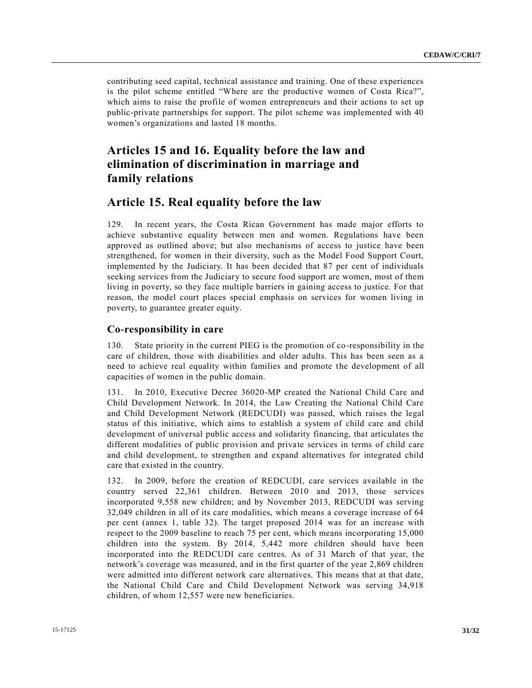contributing seed capital, technical assistance and training. One of these experiences is the pilot scheme entitled "Where are the productive women of Costa Rica?", which aims to raise the profile of women entrepreneurs and their actions to set up public-private partnerships for support. The pilot scheme was implemented with 40 women's organizations and lasted 18 months.

# **Articles 15 and 16. Equality before the law and elimination of discrimination in marriage and family relations**

#### **Article 15. Real equality before the law**

129. In recent years, the Costa Rican Government has made major efforts to achieve substantive equality between men and women. Regulations have been approved as outlined above; but also mechanisms of access to justice have been strengthened, for women in their diversity, such as the Model Food Support Court, implemented by the Judiciary. It has been decided that 87 per cent of individuals seeking services from the Judiciary to secure food support are women, most of them living in poverty, so they face multiple barriers in gaining access to justice. For that reason, the model court places special emphasis on services for women living in poverty, to guarantee greater equity.

#### **Co-responsibility in care**

130. State priority in the current PIEG is the promotion of co-responsibility in the care of children, those with disabilities and older adults. This has been seen as a need to achieve real equality within families and promote the development of all capacities of women in the public domain.

131. In 2010, Executive Decree 36020-MP created the National Child Care and Child Development Network. In 2014, the Law Creating the National Child Care and Child Development Network (REDCUDI) was passed, which raises the legal status of this initiative, which aims to establish a system of child care and child development of universal public access and solidarity financing, that articulates the different modalities of public provision and private services in terms of child care and child development, to strengthen and expand alternatives for integrated child care that existed in the country.

132. In 2009, before the creation of REDCUDI, care services available in the country served 22,361 children. Between 2010 and 2013, those services incorporated 9,558 new children; and by November 2013, REDCUDI was serving 32,049 children in all of its care modalities, which means a coverage increase of 64 per cent (annex 1, table 32). The target proposed 2014 was for an increase with respect to the 2009 baseline to reach 75 per cent, which means incorporating 15,000 children into the system. By 2014, 5,442 more children should have been incorporated into the REDCUDI care centres. As of 31 March of that year, the network's coverage was measured, and in the first quarter of the year 2,869 children were admitted into different network care alternatives. This means that at that date, the National Child Care and Child Development Network was serving 34,918 children, of whom 12,557 were new beneficiaries.